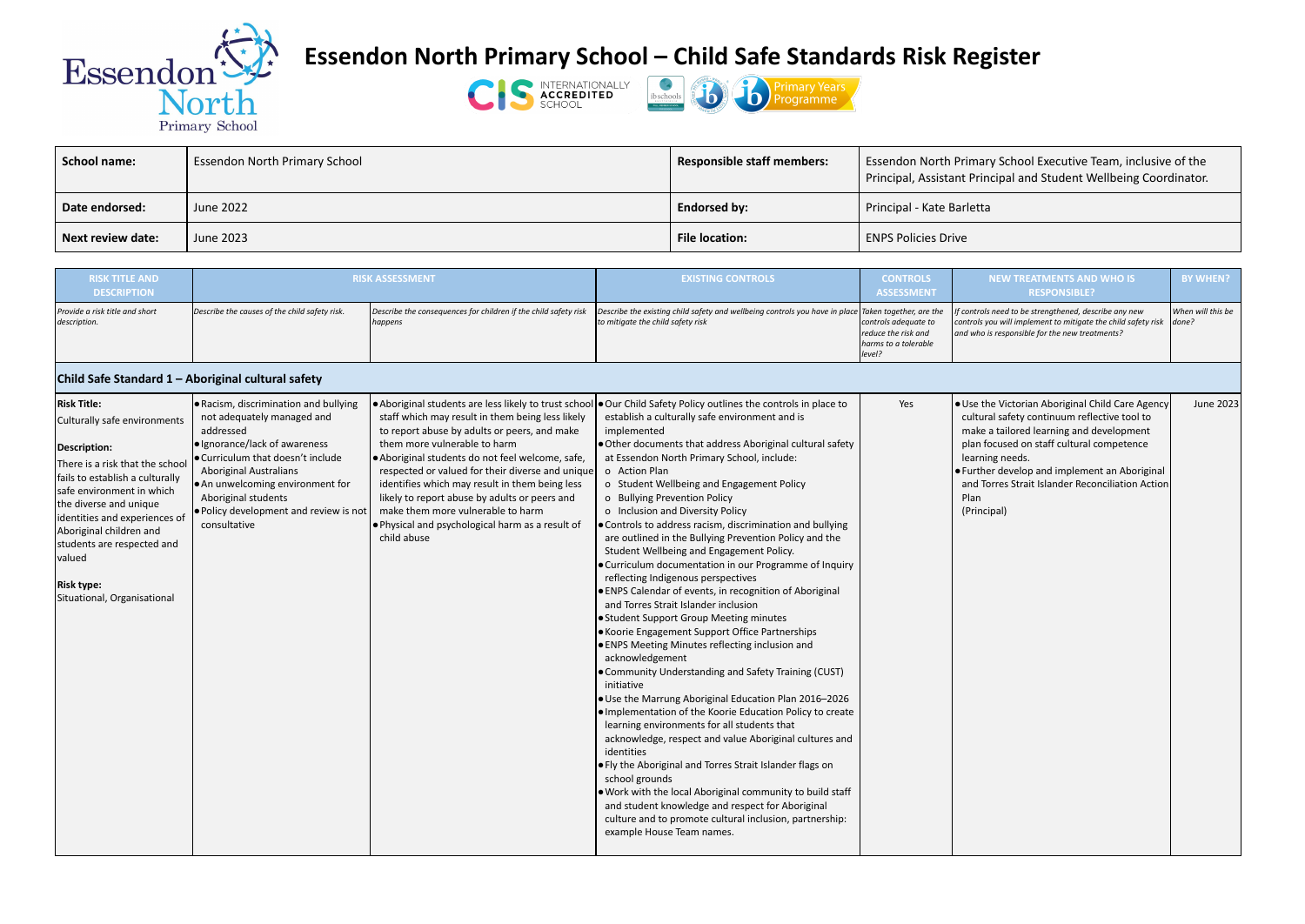

## **Essendon North Primary School – Child Safe Standards Risk Register**

## **School name:** Essendon North Primary School **Responsible staff members:** Essendon North Primary School Executive Team, inclusive of the ncipal and Student Wellbeing Coordinator.





| <b>School name:</b>      | <b>Essendon North Primary School</b> | <b>Responsible staff members:</b> | <b>Essendon North Primary</b><br>Principal, Assistant Prino |
|--------------------------|--------------------------------------|-----------------------------------|-------------------------------------------------------------|
| Date endorsed:           | June 2022                            | <b>Endorsed by:</b>               | Principal - Kate Barletta                                   |
| <b>Next review date:</b> | June 2023                            | <b>File location:</b>             | <b>ENPS Policies Drive</b>                                  |

| <b>RISK TITLE AND</b><br><b>DESCRIPTION</b>    |                                               | <b>RISK ASSESSMENT</b>                                                            | <b>EXISTING CONTROLS</b>                                                                                                                 | <b>CONTROLS</b><br><b>ASSESSMENT</b>                                          |                                      |
|------------------------------------------------|-----------------------------------------------|-----------------------------------------------------------------------------------|------------------------------------------------------------------------------------------------------------------------------------------|-------------------------------------------------------------------------------|--------------------------------------|
| Provide a risk title and short<br>description. | Describe the causes of the child safety risk. | Describe the consequences for children if the child safety risk<br><i>happens</i> | Describe the existing child safety and wellbeing controls you have in place Taken together, are the<br>to mitigate the child safety risk | controls adequate to<br>reduce the risk and<br>harms to a tolerable<br>level? | If controls<br>controls y<br>and who |

## **Child Safe Standard 1 – Aboriginal cultural safety**

| <b>RISK TITLE AND</b><br><b>DESCRIPTION</b>                                                                                                                                                                                                                                                                                                                   |                                                                                                                                                                                                                                                                                                              | <b>RISK ASSESSMENT</b>                                                                                                                                                                                                                                                                                                                                                                                                                                                                                     | <b>EXISTING CONTROLS</b>                                                                                                                                                                                                                                                                                                                                                                                                                                                                                                                                                                                                                                                                                                                                                                                                                                                                                                                                                                                                                                                                                                                                                                                                                                                                                                                                                                                                                                                                                                      | <b>CONTROLS</b><br><b>ASSESSMENT</b>                                          | <b>NEW TREATMENTS AND WHO IS</b><br><b>RESPONSIBLE?</b>                                                                                                                                                                                                                                                                                  | <b>BY WHEN?</b>            |
|---------------------------------------------------------------------------------------------------------------------------------------------------------------------------------------------------------------------------------------------------------------------------------------------------------------------------------------------------------------|--------------------------------------------------------------------------------------------------------------------------------------------------------------------------------------------------------------------------------------------------------------------------------------------------------------|------------------------------------------------------------------------------------------------------------------------------------------------------------------------------------------------------------------------------------------------------------------------------------------------------------------------------------------------------------------------------------------------------------------------------------------------------------------------------------------------------------|-------------------------------------------------------------------------------------------------------------------------------------------------------------------------------------------------------------------------------------------------------------------------------------------------------------------------------------------------------------------------------------------------------------------------------------------------------------------------------------------------------------------------------------------------------------------------------------------------------------------------------------------------------------------------------------------------------------------------------------------------------------------------------------------------------------------------------------------------------------------------------------------------------------------------------------------------------------------------------------------------------------------------------------------------------------------------------------------------------------------------------------------------------------------------------------------------------------------------------------------------------------------------------------------------------------------------------------------------------------------------------------------------------------------------------------------------------------------------------------------------------------------------------|-------------------------------------------------------------------------------|------------------------------------------------------------------------------------------------------------------------------------------------------------------------------------------------------------------------------------------------------------------------------------------------------------------------------------------|----------------------------|
| Provide a risk title and short<br>description.                                                                                                                                                                                                                                                                                                                | Describe the causes of the child safety risk.                                                                                                                                                                                                                                                                | Describe the consequences for children if the child safety risk<br>happens                                                                                                                                                                                                                                                                                                                                                                                                                                 | Describe the existing child safety and wellbeing controls you have in place $ $ Taken together, are the<br>to mitigate the child safety risk                                                                                                                                                                                                                                                                                                                                                                                                                                                                                                                                                                                                                                                                                                                                                                                                                                                                                                                                                                                                                                                                                                                                                                                                                                                                                                                                                                                  | controls adequate to<br>reduce the risk and<br>harms to a tolerable<br>level? | If controls need to be strengthened, describe any new<br>controls you will implement to mitigate the child safety risk<br>and who is responsible for the new treatments?                                                                                                                                                                 | When will this be<br>done? |
| Child Safe Standard 1 - Aboriginal cultural safety                                                                                                                                                                                                                                                                                                            |                                                                                                                                                                                                                                                                                                              |                                                                                                                                                                                                                                                                                                                                                                                                                                                                                                            |                                                                                                                                                                                                                                                                                                                                                                                                                                                                                                                                                                                                                                                                                                                                                                                                                                                                                                                                                                                                                                                                                                                                                                                                                                                                                                                                                                                                                                                                                                                               |                                                                               |                                                                                                                                                                                                                                                                                                                                          |                            |
| <b>Risk Title:</b><br>Culturally safe environments<br>Description:<br>There is a risk that the schoo<br>fails to establish a culturally<br>safe environment in which<br>the diverse and unique<br>identities and experiences of<br>Aboriginal children and<br>students are respected and<br><b>valued</b><br><b>Risk type:</b><br>Situational, Organisational | . Racism, discrimination and bullying<br>not adequately managed and<br>addressed<br>· Ignorance/lack of awareness<br>● Curriculum that doesn't include<br><b>Aboriginal Australians</b><br>. An unwelcoming environment for<br>Aboriginal students<br>. Policy development and review is not<br>consultative | Aboriginal students are less likely to trust school<br>staff which may result in them being less likely<br>to report abuse by adults or peers, and make<br>them more vulnerable to harm<br>· Aboriginal students do not feel welcome, safe,<br>respected or valued for their diverse and unique<br>identifies which may result in them being less<br>likely to report abuse by adults or peers and<br>make them more vulnerable to harm<br>. Physical and psychological harm as a result of<br>child abuse | . Our Child Safety Policy outlines the controls in place to<br>establish a culturally safe environment and is<br>implemented<br>. Other documents that address Aboriginal cultural safety<br>at Essendon North Primary School, include:<br>o Action Plan<br>o Student Wellbeing and Engagement Policy<br>o Bullying Prevention Policy<br>o Inclusion and Diversity Policy<br>. Controls to address racism, discrimination and bullying<br>are outlined in the Bullying Prevention Policy and the<br>Student Wellbeing and Engagement Policy.<br>• Curriculum documentation in our Programme of Inquiry<br>reflecting Indigenous perspectives<br>• ENPS Calendar of events, in recognition of Aboriginal<br>and Torres Strait Islander inclusion<br>• Student Support Group Meeting minutes<br>• Koorie Engagement Support Office Partnerships<br>• ENPS Meeting Minutes reflecting inclusion and<br>acknowledgement<br>• Community Understanding and Safety Training (CUST)<br>initiative<br>. Use the Marrung Aboriginal Education Plan 2016-2026<br>. Implementation of the Koorie Education Policy to create<br>learning environments for all students that<br>acknowledge, respect and value Aboriginal cultures and<br>identities<br>● Fly the Aboriginal and Torres Strait Islander flags on<br>school grounds<br>. Work with the local Aboriginal community to build staff<br>and student knowledge and respect for Aboriginal<br>culture and to promote cultural inclusion, partnership:<br>example House Team names. | Yes                                                                           | . Use the Victorian Aboriginal Child Care Agency<br>cultural safety continuum reflective tool to<br>make a tailored learning and development<br>plan focused on staff cultural competence<br>learning needs.<br>• Further develop and implement an Aboriginal<br>and Torres Strait Islander Reconciliation Action<br>Plan<br>(Principal) | June 2023                  |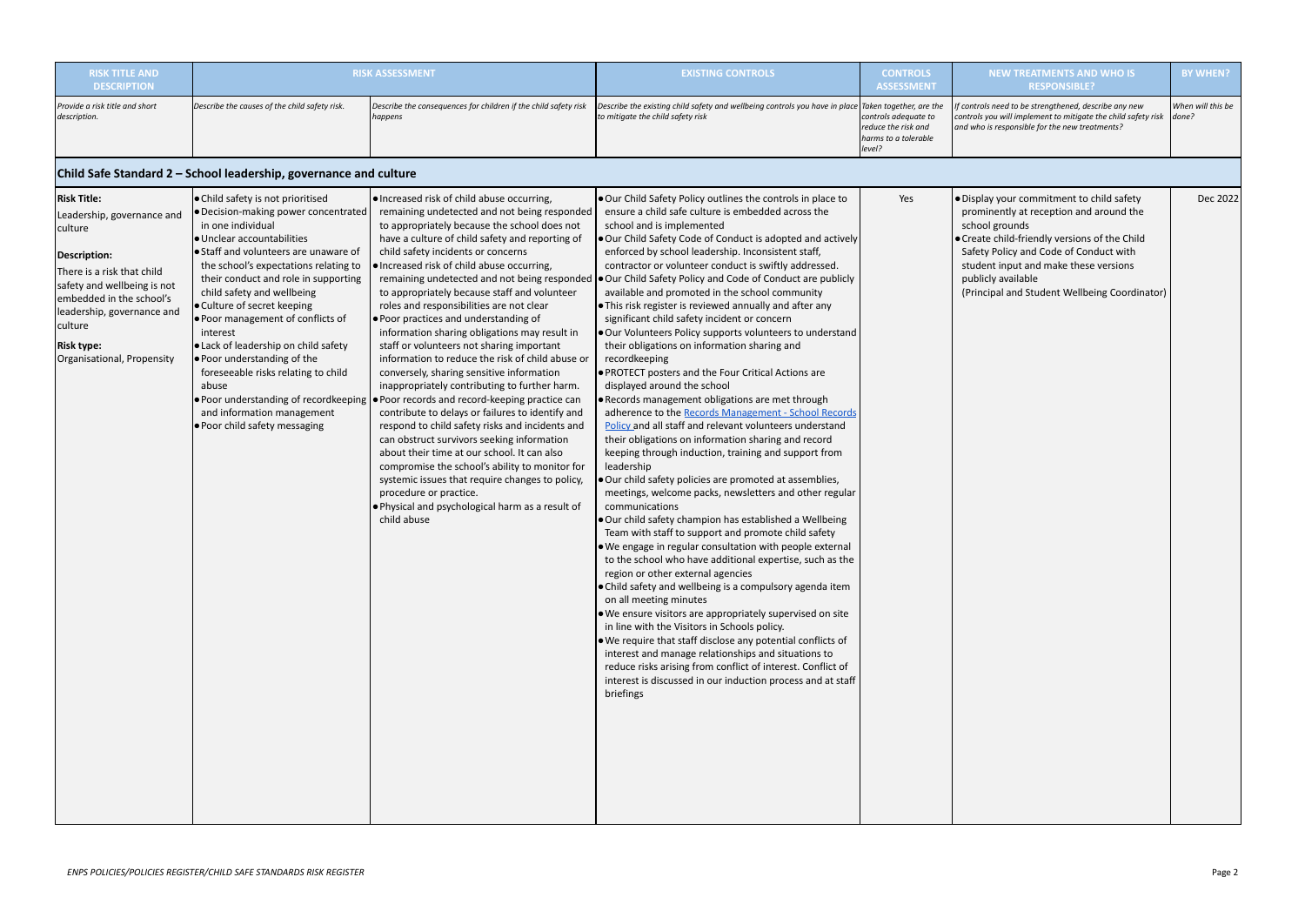| <b>RISK TITLE AND</b><br><b>DESCRIPTION</b>                                                                                                                                                                                                                             |                                                                                                                                                                                                                                                                                                                                                                                                                                                                                                                                                                                                          | <b>RISK ASSESSMENT</b>                                                                                                                                                                                                                                                                                                                                                                                                                                                                                                                                                                                                                                                                                                                                                                                                                                                                                                                                                                                                                                                                                                                                                                 | <b>EXISTING CONTROLS</b>                                                                                                                                                                                                                                                                                                                                                                                                                                                                                                                                                                                                                                                                                                                                                                                                                                                                                                                                                                                                                                                                                                                                                                                                                                                                                                                                                                                                                                                                                                                                                                                                                                                                                                                                                                                                                                                                                                                                                                                    | <b>CONTROLS</b><br><b>ASSESSMENT</b>                                                                     |                                                                                     |
|-------------------------------------------------------------------------------------------------------------------------------------------------------------------------------------------------------------------------------------------------------------------------|----------------------------------------------------------------------------------------------------------------------------------------------------------------------------------------------------------------------------------------------------------------------------------------------------------------------------------------------------------------------------------------------------------------------------------------------------------------------------------------------------------------------------------------------------------------------------------------------------------|----------------------------------------------------------------------------------------------------------------------------------------------------------------------------------------------------------------------------------------------------------------------------------------------------------------------------------------------------------------------------------------------------------------------------------------------------------------------------------------------------------------------------------------------------------------------------------------------------------------------------------------------------------------------------------------------------------------------------------------------------------------------------------------------------------------------------------------------------------------------------------------------------------------------------------------------------------------------------------------------------------------------------------------------------------------------------------------------------------------------------------------------------------------------------------------|-------------------------------------------------------------------------------------------------------------------------------------------------------------------------------------------------------------------------------------------------------------------------------------------------------------------------------------------------------------------------------------------------------------------------------------------------------------------------------------------------------------------------------------------------------------------------------------------------------------------------------------------------------------------------------------------------------------------------------------------------------------------------------------------------------------------------------------------------------------------------------------------------------------------------------------------------------------------------------------------------------------------------------------------------------------------------------------------------------------------------------------------------------------------------------------------------------------------------------------------------------------------------------------------------------------------------------------------------------------------------------------------------------------------------------------------------------------------------------------------------------------------------------------------------------------------------------------------------------------------------------------------------------------------------------------------------------------------------------------------------------------------------------------------------------------------------------------------------------------------------------------------------------------------------------------------------------------------------------------------------------------|----------------------------------------------------------------------------------------------------------|-------------------------------------------------------------------------------------|
| Provide a risk title and short<br>description.                                                                                                                                                                                                                          | Describe the causes of the child safety risk.                                                                                                                                                                                                                                                                                                                                                                                                                                                                                                                                                            | Describe the consequences for children if the child safety risk<br>happens                                                                                                                                                                                                                                                                                                                                                                                                                                                                                                                                                                                                                                                                                                                                                                                                                                                                                                                                                                                                                                                                                                             | Describe the existing child safety and wellbeing controls you have in place<br>to mitigate the child safety risk                                                                                                                                                                                                                                                                                                                                                                                                                                                                                                                                                                                                                                                                                                                                                                                                                                                                                                                                                                                                                                                                                                                                                                                                                                                                                                                                                                                                                                                                                                                                                                                                                                                                                                                                                                                                                                                                                            | Taken together, are the<br>controls adequate to<br>reduce the risk and<br>harms to a tolerable<br>level? | If controls<br>controls yo<br>and who is                                            |
|                                                                                                                                                                                                                                                                         | Child Safe Standard 2 - School leadership, governance and culture                                                                                                                                                                                                                                                                                                                                                                                                                                                                                                                                        |                                                                                                                                                                                                                                                                                                                                                                                                                                                                                                                                                                                                                                                                                                                                                                                                                                                                                                                                                                                                                                                                                                                                                                                        |                                                                                                                                                                                                                                                                                                                                                                                                                                                                                                                                                                                                                                                                                                                                                                                                                                                                                                                                                                                                                                                                                                                                                                                                                                                                                                                                                                                                                                                                                                                                                                                                                                                                                                                                                                                                                                                                                                                                                                                                             |                                                                                                          |                                                                                     |
| <b>Risk Title:</b><br>Leadership, governance and<br>culture<br><b>Description:</b><br>There is a risk that child<br>safety and wellbeing is not<br>embedded in the school's<br>leadership, governance and<br>culture<br><b>Risk type:</b><br>Organisational, Propensity | ● Child safety is not prioritised<br>· Decision-making power concentrated<br>in one individual<br>● Unclear accountabilities<br>Staff and volunteers are unaware of<br>the school's expectations relating to<br>their conduct and role in supporting<br>child safety and wellbeing<br>● Culture of secret keeping<br>. Poor management of conflicts of<br>interest<br><b>.</b> Lack of leadership on child safety<br>● Poor understanding of the<br>foreseeable risks relating to child<br>abuse<br>. Poor understanding of recordkeeping<br>and information management<br>. Poor child safety messaging | ● Increased risk of child abuse occurring,<br>remaining undetected and not being responded<br>to appropriately because the school does not<br>have a culture of child safety and reporting of<br>child safety incidents or concerns<br>· Increased risk of child abuse occurring,<br>remaining undetected and not being responded<br>to appropriately because staff and volunteer<br>roles and responsibilities are not clear<br>● Poor practices and understanding of<br>information sharing obligations may result in<br>staff or volunteers not sharing important<br>information to reduce the risk of child abuse or<br>conversely, sharing sensitive information<br>inappropriately contributing to further harm.<br>● Poor records and record-keeping practice can<br>contribute to delays or failures to identify and<br>respond to child safety risks and incidents and<br>can obstruct survivors seeking information<br>about their time at our school. It can also<br>compromise the school's ability to monitor for<br>systemic issues that require changes to policy,<br>procedure or practice.<br>$\bullet$ Physical and psychological harm as a result of<br>child abuse | Our Child Safety Policy outlines the controls in place to<br>ensure a child safe culture is embedded across the<br>school and is implemented<br>Our Child Safety Code of Conduct is adopted and actively<br>enforced by school leadership. Inconsistent staff,<br>contractor or volunteer conduct is swiftly addressed.<br>Our Child Safety Policy and Code of Conduct are publicly<br>available and promoted in the school community<br>$\bullet$ This risk register is reviewed annually and after any<br>significant child safety incident or concern<br>Our Volunteers Policy supports volunteers to understand<br>their obligations on information sharing and<br>recordkeeping<br><b>PROTECT posters and the Four Critical Actions are</b><br>displayed around the school<br>. Records management obligations are met through<br>adherence to the Records Management - School Records<br>Policy and all staff and relevant volunteers understand<br>their obligations on information sharing and record<br>keeping through induction, training and support from<br>leadership<br>. Our child safety policies are promoted at assemblies,<br>meetings, welcome packs, newsletters and other regular<br>communications<br>Our child safety champion has established a Wellbeing<br>Team with staff to support and promote child safety<br>$\bullet$ We engage in regular consultation with people external<br>to the school who have additional expertise, such as the<br>region or other external agencies<br>$\bullet$ Child safety and wellbeing is a compulsory agenda item<br>on all meeting minutes<br>$\bullet$ We ensure visitors are appropriately supervised on site<br>in line with the Visitors in Schools policy.<br>$\bullet$ We require that staff disclose any potential conflicts of<br>interest and manage relationships and situations to<br>reduce risks arising from conflict of interest. Conflict of<br>interest is discussed in our induction process and at staff<br>briefings | Yes                                                                                                      | · Display<br>promin<br>school<br>• Create<br>Safety<br>studen<br>publicl<br>(Princi |

| <b>ITROLS</b><br><b>SSMENT</b>                       | <b>NEW TREATMENTS AND WHO IS</b><br><b>RESPONSIBLE?</b>                                                                                                                                                                                                                                                           | <b>BY WHEN?</b>            |
|------------------------------------------------------|-------------------------------------------------------------------------------------------------------------------------------------------------------------------------------------------------------------------------------------------------------------------------------------------------------------------|----------------------------|
| ther, are the<br>lequate to<br>risk and<br>tolerable | If controls need to be strengthened, describe any new<br>controls you will implement to mitigate the child safety risk<br>and who is responsible for the new treatments?                                                                                                                                          | When will this be<br>done? |
|                                                      |                                                                                                                                                                                                                                                                                                                   |                            |
| Yes                                                  | . Display your commitment to child safety<br>prominently at reception and around the<br>school grounds<br>• Create child-friendly versions of the Child<br>Safety Policy and Code of Conduct with<br>student input and make these versions<br>publicly available<br>(Principal and Student Wellbeing Coordinator) | Dec 2022                   |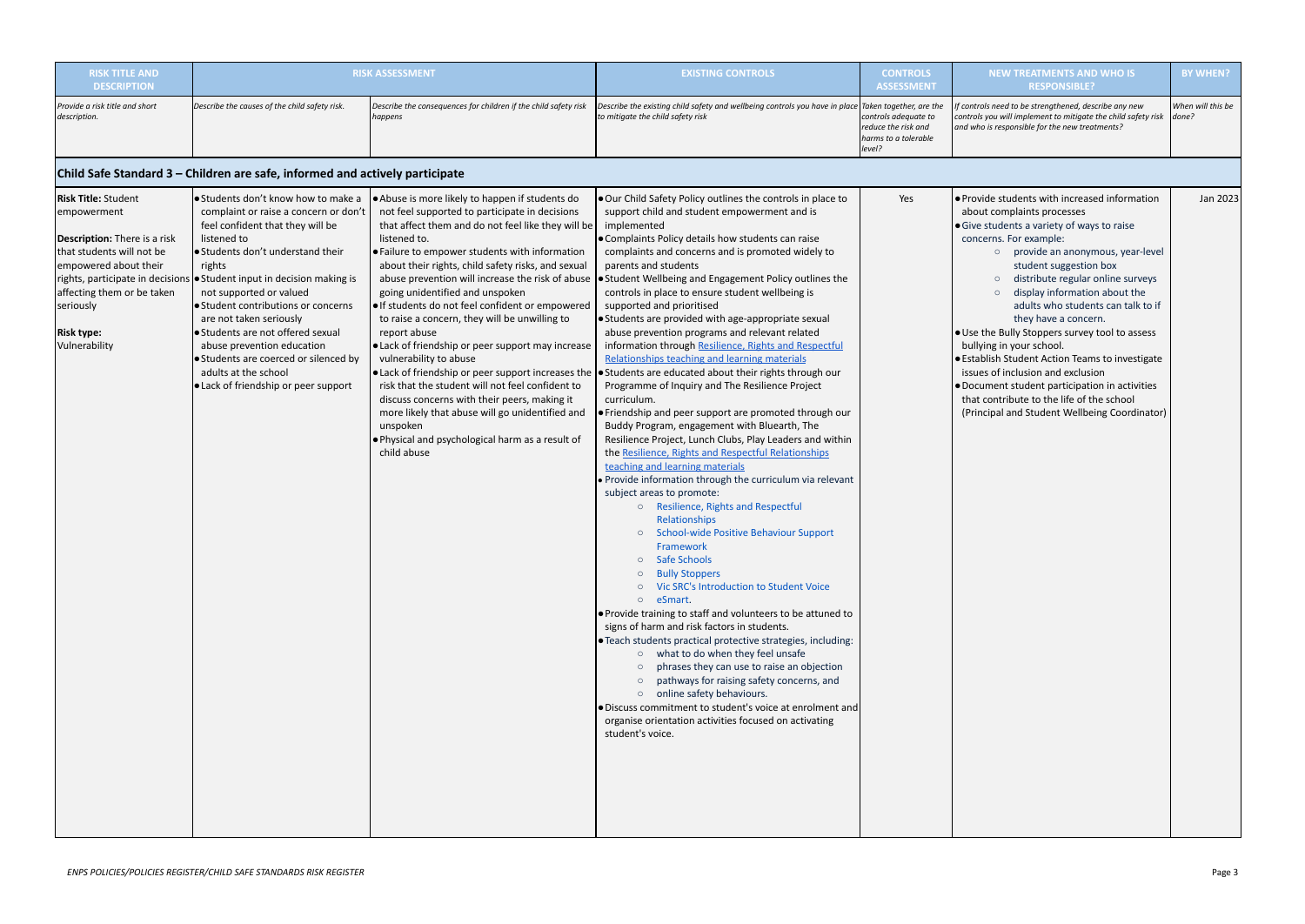| <b>RISK TITLE AND</b><br><b>DESCRIPTION</b>                                                                                                                                                                             |                                                                                                                                                                                                                                                                                                                                                                                                                                                                                                                                        | <b>RISK ASSESSMENT</b>                                                                                                                                                                                                                                                                                                                                                                                                                                                                                                                                                                                                                                                                                                                                                                                         | <b>EXISTING CONTROLS</b>                                                                                                                                                                                                                                                                                                                                                                                                                                                                                                                                                                                                                                                                                                                                                                                                                                                                                                                                                                                                                                                                                                                                                                                                                                                                                                                                                                                                                                                                                                                                                                                                                                                                                                                                                                                                                                                                                         | <b>CONTROLS</b><br><b>ASSESSMENT</b>                                          | <b>NEW TREATMENTS AND WHO IS</b><br><b>RESPONSIBLE?</b>                                                                                                                                                                                                                                                                                                                                                                                                                                                                                                                                                                                                                                                      | <b>BY WHEN?</b>            |
|-------------------------------------------------------------------------------------------------------------------------------------------------------------------------------------------------------------------------|----------------------------------------------------------------------------------------------------------------------------------------------------------------------------------------------------------------------------------------------------------------------------------------------------------------------------------------------------------------------------------------------------------------------------------------------------------------------------------------------------------------------------------------|----------------------------------------------------------------------------------------------------------------------------------------------------------------------------------------------------------------------------------------------------------------------------------------------------------------------------------------------------------------------------------------------------------------------------------------------------------------------------------------------------------------------------------------------------------------------------------------------------------------------------------------------------------------------------------------------------------------------------------------------------------------------------------------------------------------|------------------------------------------------------------------------------------------------------------------------------------------------------------------------------------------------------------------------------------------------------------------------------------------------------------------------------------------------------------------------------------------------------------------------------------------------------------------------------------------------------------------------------------------------------------------------------------------------------------------------------------------------------------------------------------------------------------------------------------------------------------------------------------------------------------------------------------------------------------------------------------------------------------------------------------------------------------------------------------------------------------------------------------------------------------------------------------------------------------------------------------------------------------------------------------------------------------------------------------------------------------------------------------------------------------------------------------------------------------------------------------------------------------------------------------------------------------------------------------------------------------------------------------------------------------------------------------------------------------------------------------------------------------------------------------------------------------------------------------------------------------------------------------------------------------------------------------------------------------------------------------------------------------------|-------------------------------------------------------------------------------|--------------------------------------------------------------------------------------------------------------------------------------------------------------------------------------------------------------------------------------------------------------------------------------------------------------------------------------------------------------------------------------------------------------------------------------------------------------------------------------------------------------------------------------------------------------------------------------------------------------------------------------------------------------------------------------------------------------|----------------------------|
| Provide a risk title and short<br>description.                                                                                                                                                                          | Describe the causes of the child safety risk.                                                                                                                                                                                                                                                                                                                                                                                                                                                                                          | Describe the consequences for children if the child safety risk<br>happens                                                                                                                                                                                                                                                                                                                                                                                                                                                                                                                                                                                                                                                                                                                                     | Describe the existing child safety and wellbeing controls you have in place Taken together, are the<br>to mitigate the child safety risk                                                                                                                                                                                                                                                                                                                                                                                                                                                                                                                                                                                                                                                                                                                                                                                                                                                                                                                                                                                                                                                                                                                                                                                                                                                                                                                                                                                                                                                                                                                                                                                                                                                                                                                                                                         | controls adequate to<br>reduce the risk and<br>harms to a tolerable<br>level? | f controls need to be strengthened, describe any new<br>controls you will implement to mitigate the child safety risk<br>and who is responsible for the new treatments?                                                                                                                                                                                                                                                                                                                                                                                                                                                                                                                                      | When will this be<br>done? |
|                                                                                                                                                                                                                         | Child Safe Standard 3 – Children are safe, informed and actively participate                                                                                                                                                                                                                                                                                                                                                                                                                                                           |                                                                                                                                                                                                                                                                                                                                                                                                                                                                                                                                                                                                                                                                                                                                                                                                                |                                                                                                                                                                                                                                                                                                                                                                                                                                                                                                                                                                                                                                                                                                                                                                                                                                                                                                                                                                                                                                                                                                                                                                                                                                                                                                                                                                                                                                                                                                                                                                                                                                                                                                                                                                                                                                                                                                                  |                                                                               |                                                                                                                                                                                                                                                                                                                                                                                                                                                                                                                                                                                                                                                                                                              |                            |
| <b>Risk Title: Student</b><br>empowerment<br><b>Description:</b> There is a risk<br>that students will not be<br>empowered about their<br>affecting them or be taken<br>seriously<br><b>Risk type:</b><br>Vulnerability | ● Students don't know how to make a<br>complaint or raise a concern or don't<br>feel confident that they will be<br>listened to<br>Students don't understand their<br>rights<br>rights, participate in decisions • Student input in decision making is<br>not supported or valued<br>● Student contributions or concerns<br>are not taken seriously<br>● Students are not offered sexual<br>abuse prevention education<br>● Students are coerced or silenced by<br>adults at the school<br><b>.</b> Lack of friendship or peer support | Abuse is more likely to happen if students do<br>not feel supported to participate in decisions<br>that affect them and do not feel like they will be<br>listened to.<br>• Failure to empower students with information<br>about their rights, child safety risks, and sexual<br>abuse prevention will increase the risk of abuse<br>going unidentified and unspoken<br>· If students do not feel confident or empowered<br>to raise a concern, they will be unwilling to<br>report abuse<br>• Lack of friendship or peer support may increase<br>vulnerability to abuse<br>risk that the student will not feel confident to<br>discuss concerns with their peers, making it<br>more likely that abuse will go unidentified and<br>unspoken<br>. Physical and psychological harm as a result of<br>child abuse | . Our Child Safety Policy outlines the controls in place to<br>support child and student empowerment and is<br>implemented<br>. Complaints Policy details how students can raise<br>complaints and concerns and is promoted widely to<br>parents and students<br>• Student Wellbeing and Engagement Policy outlines the<br>controls in place to ensure student wellbeing is<br>supported and prioritised<br>• Students are provided with age-appropriate sexual<br>abuse prevention programs and relevant related<br>information through Resilience, Rights and Respectful<br>Relationships teaching and learning materials<br>• Lack of friendship or peer support increases the $\bullet$ Students are educated about their rights through our<br>Programme of Inquiry and The Resilience Project<br>curriculum.<br>• Friendship and peer support are promoted through our<br>Buddy Program, engagement with Bluearth, The<br>Resilience Project, Lunch Clubs, Play Leaders and within<br>the Resilience, Rights and Respectful Relationships<br>teaching and learning materials<br>Provide information through the curriculum via relevant<br>subject areas to promote:<br>o Resilience, Rights and Respectful<br>Relationships<br>o School-wide Positive Behaviour Support<br>Framework<br><b>Safe Schools</b><br><b>Bully Stoppers</b><br>O Vic SRC's Introduction to Student Voice<br>o eSmart.<br>● Provide training to staff and volunteers to be attuned to<br>signs of harm and risk factors in students.<br><b>.</b> Teach students practical protective strategies, including:<br>o what to do when they feel unsafe<br>phrases they can use to raise an objection<br>$\circ$<br>o pathways for raising safety concerns, and<br>o online safety behaviours.<br>. Discuss commitment to student's voice at enrolment and<br>organise orientation activities focused on activating<br>student's voice. | Yes                                                                           | • Provide students with increased information<br>about complaints processes<br>• Give students a variety of ways to raise<br>concerns. For example:<br>provide an anonymous, year-level<br>$\circ$<br>student suggestion box<br>distribute regular online surveys<br>$\circ$<br>display information about the<br>$\circ$<br>adults who students can talk to if<br>they have a concern.<br>. Use the Bully Stoppers survey tool to assess<br>bullying in your school.<br>• Establish Student Action Teams to investigate<br>issues of inclusion and exclusion<br>. Document student participation in activities<br>that contribute to the life of the school<br>(Principal and Student Wellbeing Coordinator) | Jan 2023                   |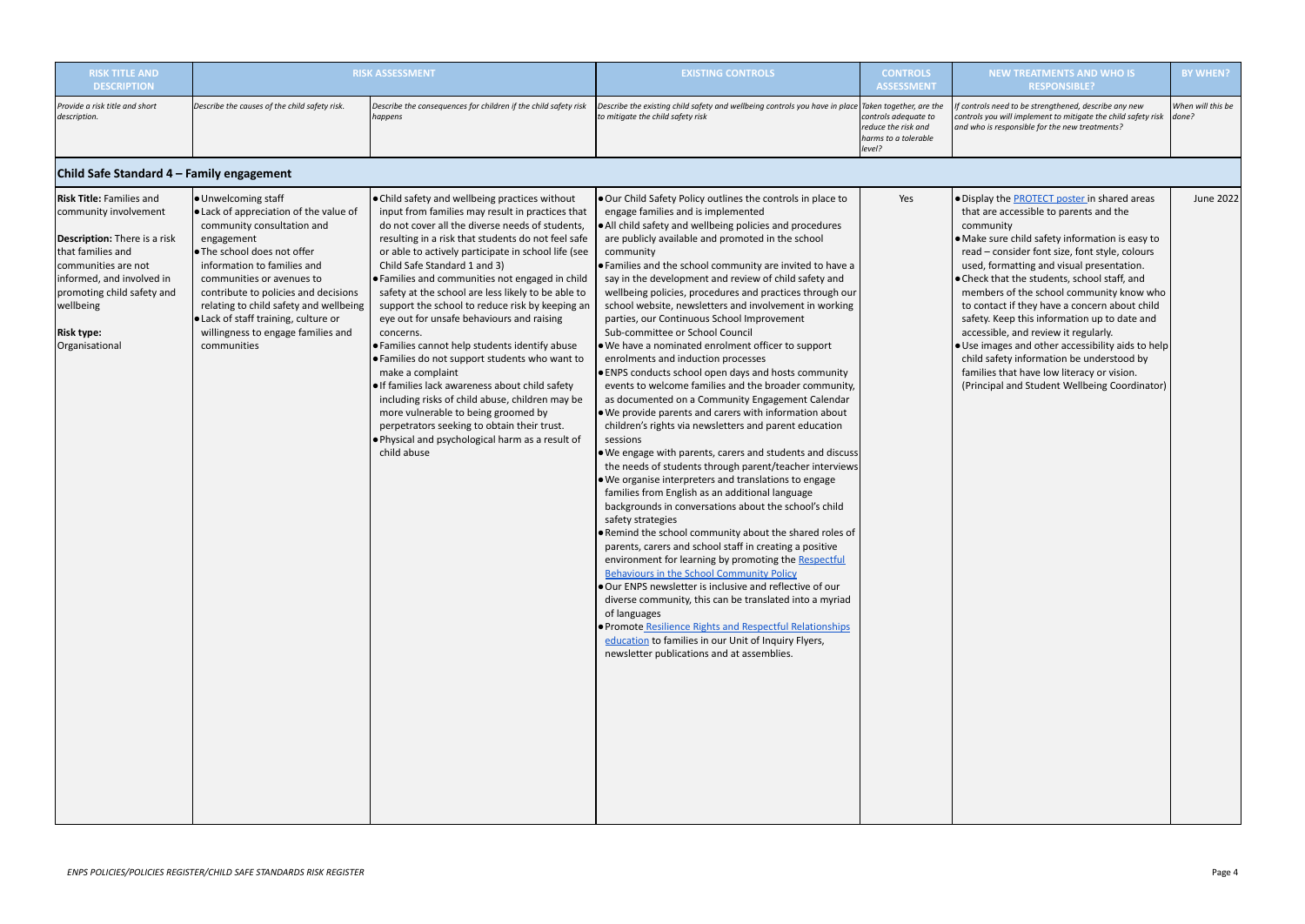| <b>RISK TITLE AND</b><br><b>DESCRIPTION</b>                                                                                                                                                                                                   |                                                                                                                                                                                                                                                                                                                                                                                      | <b>RISK ASSESSMENT</b>                                                                                                                                                                                                                                                                                                                                                                                                                                                                                                                                                                                                                                                                                                                                                                                                                                                                                          | <b>EXISTING CONTROLS</b>                                                                                                                                                                                                                                                                                                                                                                                                                                                                                                                                                                                                                                                                                                                                                                                                                                                                                                                                                                                                                                                                                                                                                                                                                                                                                                                                                                                                                                                                                                                                                                                                                                                                                                                                                                                            | <b>CONTROLS</b><br><b>ASSESSMENT</b>                                          | <b>NEW TREATMENTS AND WHO IS</b><br><b>RESPONSIBLE?</b>                                                                                                                                                                                                                                                                                                                                                                                                                                                                                                                                                                                                                                            | <b>BY WHEN?</b>            |
|-----------------------------------------------------------------------------------------------------------------------------------------------------------------------------------------------------------------------------------------------|--------------------------------------------------------------------------------------------------------------------------------------------------------------------------------------------------------------------------------------------------------------------------------------------------------------------------------------------------------------------------------------|-----------------------------------------------------------------------------------------------------------------------------------------------------------------------------------------------------------------------------------------------------------------------------------------------------------------------------------------------------------------------------------------------------------------------------------------------------------------------------------------------------------------------------------------------------------------------------------------------------------------------------------------------------------------------------------------------------------------------------------------------------------------------------------------------------------------------------------------------------------------------------------------------------------------|---------------------------------------------------------------------------------------------------------------------------------------------------------------------------------------------------------------------------------------------------------------------------------------------------------------------------------------------------------------------------------------------------------------------------------------------------------------------------------------------------------------------------------------------------------------------------------------------------------------------------------------------------------------------------------------------------------------------------------------------------------------------------------------------------------------------------------------------------------------------------------------------------------------------------------------------------------------------------------------------------------------------------------------------------------------------------------------------------------------------------------------------------------------------------------------------------------------------------------------------------------------------------------------------------------------------------------------------------------------------------------------------------------------------------------------------------------------------------------------------------------------------------------------------------------------------------------------------------------------------------------------------------------------------------------------------------------------------------------------------------------------------------------------------------------------------|-------------------------------------------------------------------------------|----------------------------------------------------------------------------------------------------------------------------------------------------------------------------------------------------------------------------------------------------------------------------------------------------------------------------------------------------------------------------------------------------------------------------------------------------------------------------------------------------------------------------------------------------------------------------------------------------------------------------------------------------------------------------------------------------|----------------------------|
| Provide a risk title and short<br>description.                                                                                                                                                                                                | Describe the causes of the child safety risk.                                                                                                                                                                                                                                                                                                                                        | Describe the consequences for children if the child safety risk<br>happens                                                                                                                                                                                                                                                                                                                                                                                                                                                                                                                                                                                                                                                                                                                                                                                                                                      | Describe the existing child safety and wellbeing controls you have in place $ $ Taken together, are the<br>to mitigate the child safety risk                                                                                                                                                                                                                                                                                                                                                                                                                                                                                                                                                                                                                                                                                                                                                                                                                                                                                                                                                                                                                                                                                                                                                                                                                                                                                                                                                                                                                                                                                                                                                                                                                                                                        | controls adequate to<br>reduce the risk and<br>harms to a tolerable<br>level? | f controls need to be strengthened, describe any new<br>controls you will implement to mitigate the child safety risk<br>and who is responsible for the new treatments?                                                                                                                                                                                                                                                                                                                                                                                                                                                                                                                            | When will this be<br>done? |
| Child Safe Standard 4 – Family engagement                                                                                                                                                                                                     |                                                                                                                                                                                                                                                                                                                                                                                      |                                                                                                                                                                                                                                                                                                                                                                                                                                                                                                                                                                                                                                                                                                                                                                                                                                                                                                                 |                                                                                                                                                                                                                                                                                                                                                                                                                                                                                                                                                                                                                                                                                                                                                                                                                                                                                                                                                                                                                                                                                                                                                                                                                                                                                                                                                                                                                                                                                                                                                                                                                                                                                                                                                                                                                     |                                                                               |                                                                                                                                                                                                                                                                                                                                                                                                                                                                                                                                                                                                                                                                                                    |                            |
| <b>Risk Title: Families and</b><br>community involvement<br>Description: There is a risk<br>that families and<br>communities are not<br>informed, and involved in<br>promoting child safety and<br>wellbeing<br> Risk type:<br>Organisational | ● Unwelcoming staff<br>. Lack of appreciation of the value of<br>community consultation and<br>engagement<br>l. The school does not offer<br>information to families and<br>communities or avenues to<br>contribute to policies and decisions<br>relating to child safety and wellbeing<br>. Lack of staff training, culture or<br>willingness to engage families and<br>communities | . Child safety and wellbeing practices without<br>input from families may result in practices that<br>do not cover all the diverse needs of students,<br>resulting in a risk that students do not feel safe<br>or able to actively participate in school life (see<br>Child Safe Standard 1 and 3)<br>. Families and communities not engaged in child<br>safety at the school are less likely to be able to<br>support the school to reduce risk by keeping an<br>eye out for unsafe behaviours and raising<br>concerns.<br>. Families cannot help students identify abuse<br>. Families do not support students who want to<br>make a complaint<br>. If families lack awareness about child safety<br>including risks of child abuse, children may be<br>more vulnerable to being groomed by<br>perpetrators seeking to obtain their trust.<br>. Physical and psychological harm as a result of<br>child abuse | . Our Child Safety Policy outlines the controls in place to<br>engage families and is implemented<br>. All child safety and wellbeing policies and procedures<br>are publicly available and promoted in the school<br>community<br>• Families and the school community are invited to have a<br>say in the development and review of child safety and<br>wellbeing policies, procedures and practices through our<br>school website, newsletters and involvement in working<br>parties, our Continuous School Improvement<br>Sub-committee or School Council<br>. We have a nominated enrolment officer to support<br>enrolments and induction processes<br>. ENPS conducts school open days and hosts community<br>events to welcome families and the broader community,<br>as documented on a Community Engagement Calendar<br>. We provide parents and carers with information about<br>children's rights via newsletters and parent education<br>sessions<br>. We engage with parents, carers and students and discuss<br>the needs of students through parent/teacher interviews<br>. We organise interpreters and translations to engage<br>families from English as an additional language<br>backgrounds in conversations about the school's child<br>safety strategies<br>. Remind the school community about the shared roles of<br>parents, carers and school staff in creating a positive<br>environment for learning by promoting the Respectful<br>Behaviours in the School Community Policy<br>. Our ENPS newsletter is inclusive and reflective of our<br>diverse community, this can be translated into a myriad<br>of languages<br>· Promote Resilience Rights and Respectful Relationships<br>education to families in our Unit of Inquiry Flyers,<br>newsletter publications and at assemblies. | Yes                                                                           | . Display the <b>PROTECT</b> poster in shared areas<br>that are accessible to parents and the<br>community<br>• Make sure child safety information is easy to<br>read - consider font size, font style, colours<br>used, formatting and visual presentation.<br>• Check that the students, school staff, and<br>members of the school community know who<br>to contact if they have a concern about child<br>safety. Keep this information up to date and<br>accessible, and review it regularly.<br>. Use images and other accessibility aids to help<br>child safety information be understood by<br>families that have low literacy or vision.<br>(Principal and Student Wellbeing Coordinator) | June 2022                  |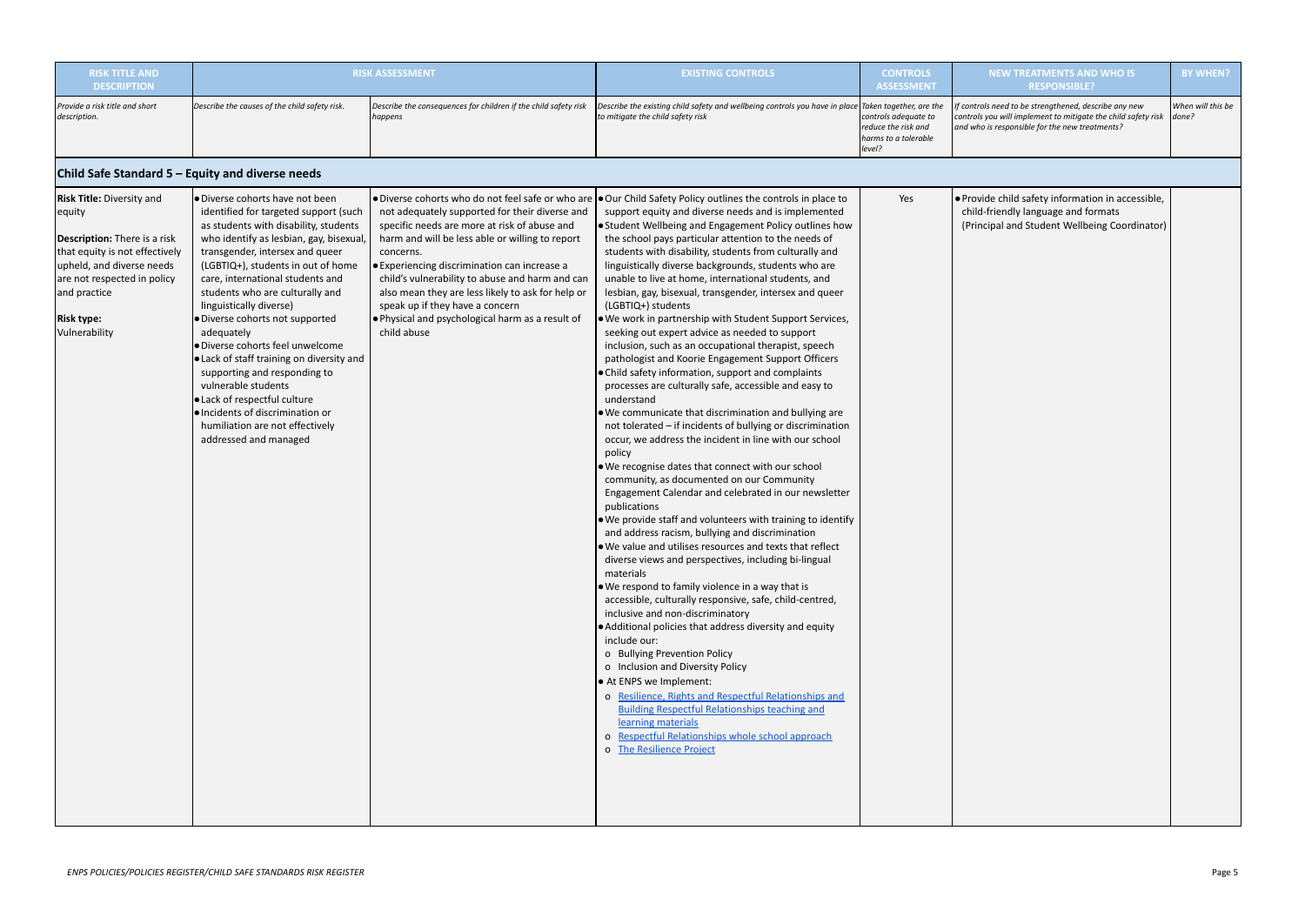| <b>RISK TITLE AND</b><br><b>DESCRIPTION</b>                                                                                                                                                                                    |                                                                                                                                                                                                                                                                                                                                                                                                                                                                                                                                                                                                                                                                  | <b>RISK ASSESSMENT</b>                                                                                                                                                                                                                                                                                                                                                                                                       | <b>EXISTING CONTROLS</b>                                                                                                                                                                                                                                                                                                                                                                                                                                                                                                                                                                                                                                                                                                                                                                                                                                                                                                                                                                                                                                                                                                                                                                                                                                                                                                                                                                                                                                                                                                                                                                                                                                                                                                                                                                                                                                                                                                                                                                                                                                                              | <b>CONTROLS</b><br><b>ASSESSMENT</b>                                          | <b>NEW TREATMENTS AND WHO IS</b><br><b>RESPONSIBLE?</b>                                                                                                                  | <b>BY WHEN?</b>            |
|--------------------------------------------------------------------------------------------------------------------------------------------------------------------------------------------------------------------------------|------------------------------------------------------------------------------------------------------------------------------------------------------------------------------------------------------------------------------------------------------------------------------------------------------------------------------------------------------------------------------------------------------------------------------------------------------------------------------------------------------------------------------------------------------------------------------------------------------------------------------------------------------------------|------------------------------------------------------------------------------------------------------------------------------------------------------------------------------------------------------------------------------------------------------------------------------------------------------------------------------------------------------------------------------------------------------------------------------|---------------------------------------------------------------------------------------------------------------------------------------------------------------------------------------------------------------------------------------------------------------------------------------------------------------------------------------------------------------------------------------------------------------------------------------------------------------------------------------------------------------------------------------------------------------------------------------------------------------------------------------------------------------------------------------------------------------------------------------------------------------------------------------------------------------------------------------------------------------------------------------------------------------------------------------------------------------------------------------------------------------------------------------------------------------------------------------------------------------------------------------------------------------------------------------------------------------------------------------------------------------------------------------------------------------------------------------------------------------------------------------------------------------------------------------------------------------------------------------------------------------------------------------------------------------------------------------------------------------------------------------------------------------------------------------------------------------------------------------------------------------------------------------------------------------------------------------------------------------------------------------------------------------------------------------------------------------------------------------------------------------------------------------------------------------------------------------|-------------------------------------------------------------------------------|--------------------------------------------------------------------------------------------------------------------------------------------------------------------------|----------------------------|
| Provide a risk title and short<br>description.                                                                                                                                                                                 | Describe the causes of the child safety risk.                                                                                                                                                                                                                                                                                                                                                                                                                                                                                                                                                                                                                    | Describe the consequences for children if the child safety risk<br>happens                                                                                                                                                                                                                                                                                                                                                   | Describe the existing child safety and wellbeing controls you have in place $\vert$ Taken together, are the<br>to mitigate the child safety risk                                                                                                                                                                                                                                                                                                                                                                                                                                                                                                                                                                                                                                                                                                                                                                                                                                                                                                                                                                                                                                                                                                                                                                                                                                                                                                                                                                                                                                                                                                                                                                                                                                                                                                                                                                                                                                                                                                                                      | controls adequate to<br>reduce the risk and<br>harms to a tolerable<br>level? | If controls need to be strengthened, describe any new<br>controls you will implement to mitigate the child safety risk<br>and who is responsible for the new treatments? | When will this be<br>done? |
| Child Safe Standard 5 – Equity and diverse needs                                                                                                                                                                               |                                                                                                                                                                                                                                                                                                                                                                                                                                                                                                                                                                                                                                                                  |                                                                                                                                                                                                                                                                                                                                                                                                                              |                                                                                                                                                                                                                                                                                                                                                                                                                                                                                                                                                                                                                                                                                                                                                                                                                                                                                                                                                                                                                                                                                                                                                                                                                                                                                                                                                                                                                                                                                                                                                                                                                                                                                                                                                                                                                                                                                                                                                                                                                                                                                       |                                                                               |                                                                                                                                                                          |                            |
| Risk Title: Diversity and<br>equity<br><b>Description:</b> There is a risk<br>that equity is not effectively<br>upheld, and diverse needs<br>are not respected in policy<br>and practice<br><b>Risk type:</b><br>Vulnerability | O Diverse cohorts have not been<br>identified for targeted support (such<br>as students with disability, students<br>who identify as lesbian, gay, bisexual,<br>transgender, intersex and queer<br>(LGBTIQ+), students in out of home<br>care, international students and<br>students who are culturally and<br>linguistically diverse)<br>· Diverse cohorts not supported<br>adequately<br>● Diverse cohorts feel unwelcome<br>● Lack of staff training on diversity and<br>supporting and responding to<br>vulnerable students<br>● Lack of respectful culture<br>· Incidents of discrimination or<br>humiliation are not effectively<br>addressed and managed | not adequately supported for their diverse and<br>specific needs are more at risk of abuse and<br>harm and will be less able or willing to report<br>concerns.<br>• Experiencing discrimination can increase a<br>child's vulnerability to abuse and harm and can<br>also mean they are less likely to ask for help or<br>speak up if they have a concern<br>. Physical and psychological harm as a result of<br>child abuse | • Diverse cohorts who do not feel safe or who are • Our Child Safety Policy outlines the controls in place to<br>support equity and diverse needs and is implemented<br>. Student Wellbeing and Engagement Policy outlines how<br>the school pays particular attention to the needs of<br>students with disability, students from culturally and<br>linguistically diverse backgrounds, students who are<br>unable to live at home, international students, and<br>lesbian, gay, bisexual, transgender, intersex and queer<br>(LGBTIQ+) students<br>. We work in partnership with Student Support Services,<br>seeking out expert advice as needed to support<br>inclusion, such as an occupational therapist, speech<br>pathologist and Koorie Engagement Support Officers<br>. Child safety information, support and complaints<br>processes are culturally safe, accessible and easy to<br>understand<br>. We communicate that discrimination and bullying are<br>not tolerated - if incidents of bullying or discrimination<br>occur, we address the incident in line with our school<br>policy<br>. We recognise dates that connect with our school<br>community, as documented on our Community<br>Engagement Calendar and celebrated in our newsletter<br>publications<br>. We provide staff and volunteers with training to identify<br>and address racism, bullying and discrimination<br>. We value and utilises resources and texts that reflect<br>diverse views and perspectives, including bi-lingual<br>materials<br>. We respond to family violence in a way that is<br>accessible, culturally responsive, safe, child-centred,<br>inclusive and non-discriminatory<br>• Additional policies that address diversity and equity<br>include our:<br>o Bullying Prevention Policy<br>o Inclusion and Diversity Policy<br>• At ENPS we Implement:<br>o Resilience, Rights and Respectful Relationships and<br><b>Building Respectful Relationships teaching and</b><br>learning materials<br>o Respectful Relationships whole school approach<br>o The Resilience Project | Yes                                                                           | . Provide child safety information in accessible,<br>child-friendly language and formats<br>(Principal and Student Wellbeing Coordinator)                                |                            |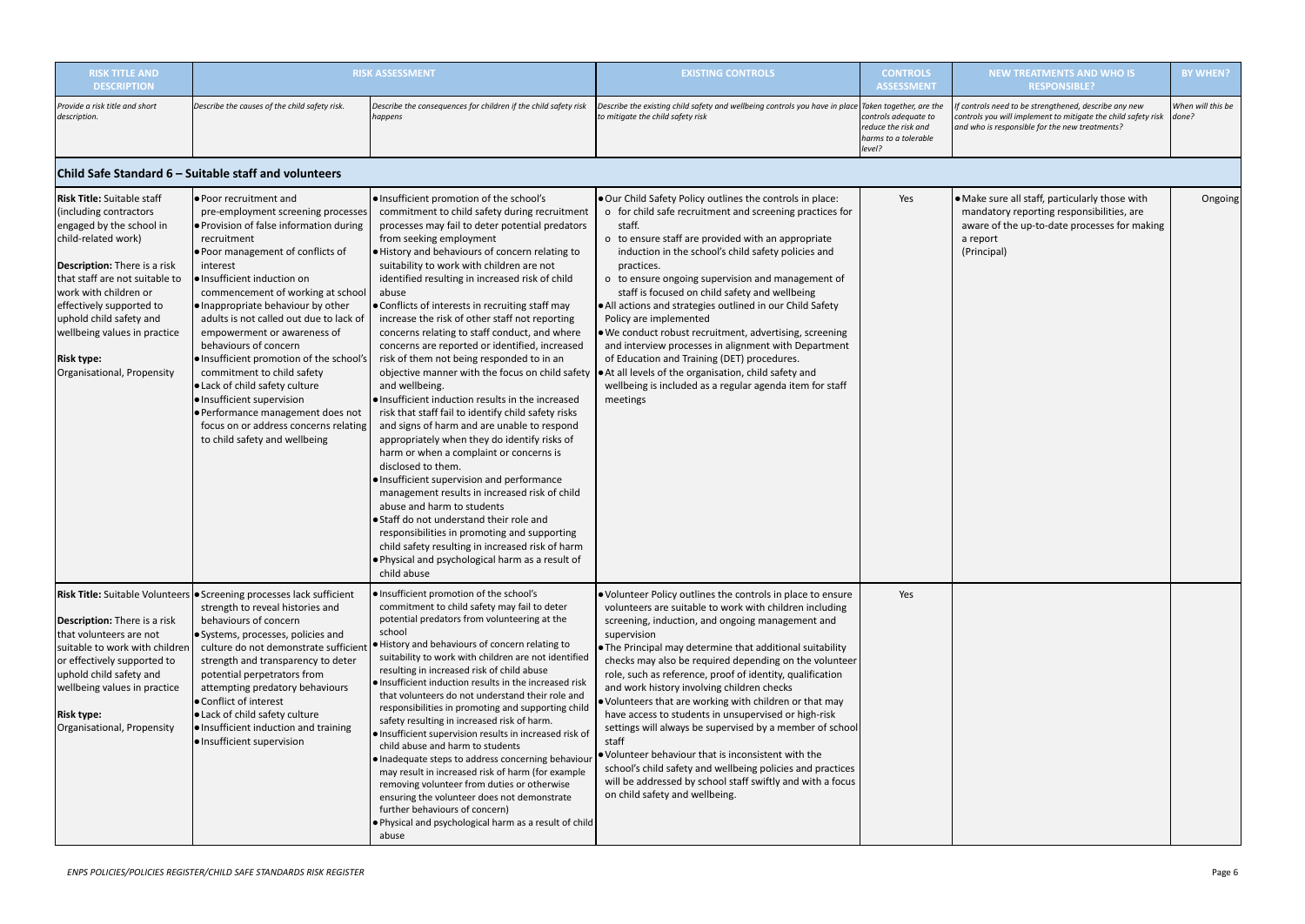| <b>RISK TITLE AND</b><br><b>DESCRIPTION</b>                                                                                                                                                                                                                                                                                                                |                                                                                                                                                                                                                                                                                                                                                                                                                                                                                                                                                                                                                                               | <b>RISK ASSESSMENT</b>                                                                                                                                                                                                                                                                                                                                                                                                                                                                                                                                                                                                                                                                                                                                                                                                                                                                                                                                                                                                                                                                                                                                                                                                                                                                   | <b>EXISTING CONTROLS</b>                                                                                                                                                                                                                                                                                                                                                                                                                                                                                                                                                                                                                                                                                                                                                                                                                 | <b>CONTROLS</b><br><b>ASSESSMENT</b>                                          | <b>NEW TREATMENTS AND WHO IS</b><br><b>RESPONSIBLE?</b>                                                                                                                 | <b>BY WHEN?</b>            |
|------------------------------------------------------------------------------------------------------------------------------------------------------------------------------------------------------------------------------------------------------------------------------------------------------------------------------------------------------------|-----------------------------------------------------------------------------------------------------------------------------------------------------------------------------------------------------------------------------------------------------------------------------------------------------------------------------------------------------------------------------------------------------------------------------------------------------------------------------------------------------------------------------------------------------------------------------------------------------------------------------------------------|------------------------------------------------------------------------------------------------------------------------------------------------------------------------------------------------------------------------------------------------------------------------------------------------------------------------------------------------------------------------------------------------------------------------------------------------------------------------------------------------------------------------------------------------------------------------------------------------------------------------------------------------------------------------------------------------------------------------------------------------------------------------------------------------------------------------------------------------------------------------------------------------------------------------------------------------------------------------------------------------------------------------------------------------------------------------------------------------------------------------------------------------------------------------------------------------------------------------------------------------------------------------------------------|------------------------------------------------------------------------------------------------------------------------------------------------------------------------------------------------------------------------------------------------------------------------------------------------------------------------------------------------------------------------------------------------------------------------------------------------------------------------------------------------------------------------------------------------------------------------------------------------------------------------------------------------------------------------------------------------------------------------------------------------------------------------------------------------------------------------------------------|-------------------------------------------------------------------------------|-------------------------------------------------------------------------------------------------------------------------------------------------------------------------|----------------------------|
| Provide a risk title and short<br>description.                                                                                                                                                                                                                                                                                                             | Describe the causes of the child safety risk.                                                                                                                                                                                                                                                                                                                                                                                                                                                                                                                                                                                                 | Describe the consequences for children if the child safety risk<br>happens                                                                                                                                                                                                                                                                                                                                                                                                                                                                                                                                                                                                                                                                                                                                                                                                                                                                                                                                                                                                                                                                                                                                                                                                               | Describe the existing child safety and wellbeing controls you have in place Taken together, are the<br>to mitigate the child safety risk                                                                                                                                                                                                                                                                                                                                                                                                                                                                                                                                                                                                                                                                                                 | controls adequate to<br>reduce the risk and<br>harms to a tolerable<br>level? | f controls need to be strengthened, describe any new<br>controls you will implement to mitigate the child safety risk<br>and who is responsible for the new treatments? | When will this be<br>done? |
|                                                                                                                                                                                                                                                                                                                                                            | Child Safe Standard 6 – Suitable staff and volunteers                                                                                                                                                                                                                                                                                                                                                                                                                                                                                                                                                                                         |                                                                                                                                                                                                                                                                                                                                                                                                                                                                                                                                                                                                                                                                                                                                                                                                                                                                                                                                                                                                                                                                                                                                                                                                                                                                                          |                                                                                                                                                                                                                                                                                                                                                                                                                                                                                                                                                                                                                                                                                                                                                                                                                                          |                                                                               |                                                                                                                                                                         |                            |
| <b>Risk Title:</b> Suitable staff<br>(including contractors<br>engaged by the school in<br>child-related work)<br><b>Description:</b> There is a risk<br>that staff are not suitable to<br>work with children or<br>effectively supported to<br>uphold child safety and<br>wellbeing values in practice<br><b>Risk type:</b><br>Organisational, Propensity | ● Poor recruitment and<br>pre-employment screening processes<br>● Provision of false information during<br>recruitment<br>. Poor management of conflicts of<br>interest<br>l.Insufficient induction on<br>commencement of working at school<br>● Inappropriate behaviour by other<br>adults is not called out due to lack of<br>empowerment or awareness of<br>behaviours of concern<br>· Insufficient promotion of the school's<br>commitment to child safety<br>● Lack of child safety culture<br>· Insufficient supervision<br>· Performance management does not<br>focus on or address concerns relating<br>to child safety and wellbeing | ● Insufficient promotion of the school's<br>commitment to child safety during recruitment<br>processes may fail to deter potential predators<br>from seeking employment<br>. History and behaviours of concern relating to<br>suitability to work with children are not<br>identified resulting in increased risk of child<br>abuse<br>• Conflicts of interests in recruiting staff may<br>increase the risk of other staff not reporting<br>concerns relating to staff conduct, and where<br>concerns are reported or identified, increased<br>risk of them not being responded to in an<br>objective manner with the focus on child safety<br>and wellbeing.<br>. Insufficient induction results in the increased<br>risk that staff fail to identify child safety risks<br>and signs of harm and are unable to respond<br>appropriately when they do identify risks of<br>harm or when a complaint or concerns is<br>disclosed to them.<br>· Insufficient supervision and performance<br>management results in increased risk of child<br>abuse and harm to students<br>Staff do not understand their role and<br>responsibilities in promoting and supporting<br>child safety resulting in increased risk of harm<br>. Physical and psychological harm as a result of<br>child abuse | . Our Child Safety Policy outlines the controls in place:<br>o for child safe recruitment and screening practices for<br>staff.<br>o to ensure staff are provided with an appropriate<br>induction in the school's child safety policies and<br>practices.<br>o to ensure ongoing supervision and management of<br>staff is focused on child safety and wellbeing<br>• All actions and strategies outlined in our Child Safety<br>Policy are implemented<br>. We conduct robust recruitment, advertising, screening<br>and interview processes in alignment with Department<br>of Education and Training (DET) procedures.<br>At all levels of the organisation, child safety and<br>wellbeing is included as a regular agenda item for staff<br>meetings                                                                                | Yes                                                                           | • Make sure all staff, particularly those with<br>mandatory reporting responsibilities, are<br>aware of the up-to-date processes for making<br>a report<br>(Principal)  | Ongoing                    |
| Description: There is a risk<br>that volunteers are not<br>suitable to work with children<br>or effectively supported to<br>uphold child safety and<br>wellbeing values in practice<br><b>Risk type:</b><br>Organisational, Propensity                                                                                                                     | Risk Title: Suitable Volunteers   Screening processes lack sufficient<br>strength to reveal histories and<br>behaviours of concern<br>● Systems, processes, policies and<br>culture do not demonstrate sufficient<br>strength and transparency to deter<br>potential perpetrators from<br>attempting predatory behaviours<br>● Conflict of interest<br>● Lack of child safety culture<br>. Insufficient induction and training<br>· Insufficient supervision                                                                                                                                                                                  | . Insufficient promotion of the school's<br>commitment to child safety may fail to deter<br>potential predators from volunteering at the<br>school<br>History and behaviours of concern relating to<br>suitability to work with children are not identified<br>resulting in increased risk of child abuse<br>· Insufficient induction results in the increased risk<br>that volunteers do not understand their role and<br>responsibilities in promoting and supporting child<br>safety resulting in increased risk of harm.<br>· Insufficient supervision results in increased risk of<br>child abuse and harm to students<br>· Inadequate steps to address concerning behaviour<br>may result in increased risk of harm (for example<br>removing volunteer from duties or otherwise<br>ensuring the volunteer does not demonstrate<br>further behaviours of concern)<br>. Physical and psychological harm as a result of child<br>abuse                                                                                                                                                                                                                                                                                                                                                | . Volunteer Policy outlines the controls in place to ensure<br>volunteers are suitable to work with children including<br>screening, induction, and ongoing management and<br>supervision<br>. The Principal may determine that additional suitability<br>checks may also be required depending on the volunteer<br>role, such as reference, proof of identity, qualification<br>and work history involving children checks<br>. Volunteers that are working with children or that may<br>have access to students in unsupervised or high-risk<br>settings will always be supervised by a member of school<br>staff<br>. Volunteer behaviour that is inconsistent with the<br>school's child safety and wellbeing policies and practices<br>will be addressed by school staff swiftly and with a focus<br>on child safety and wellbeing. | Yes                                                                           |                                                                                                                                                                         |                            |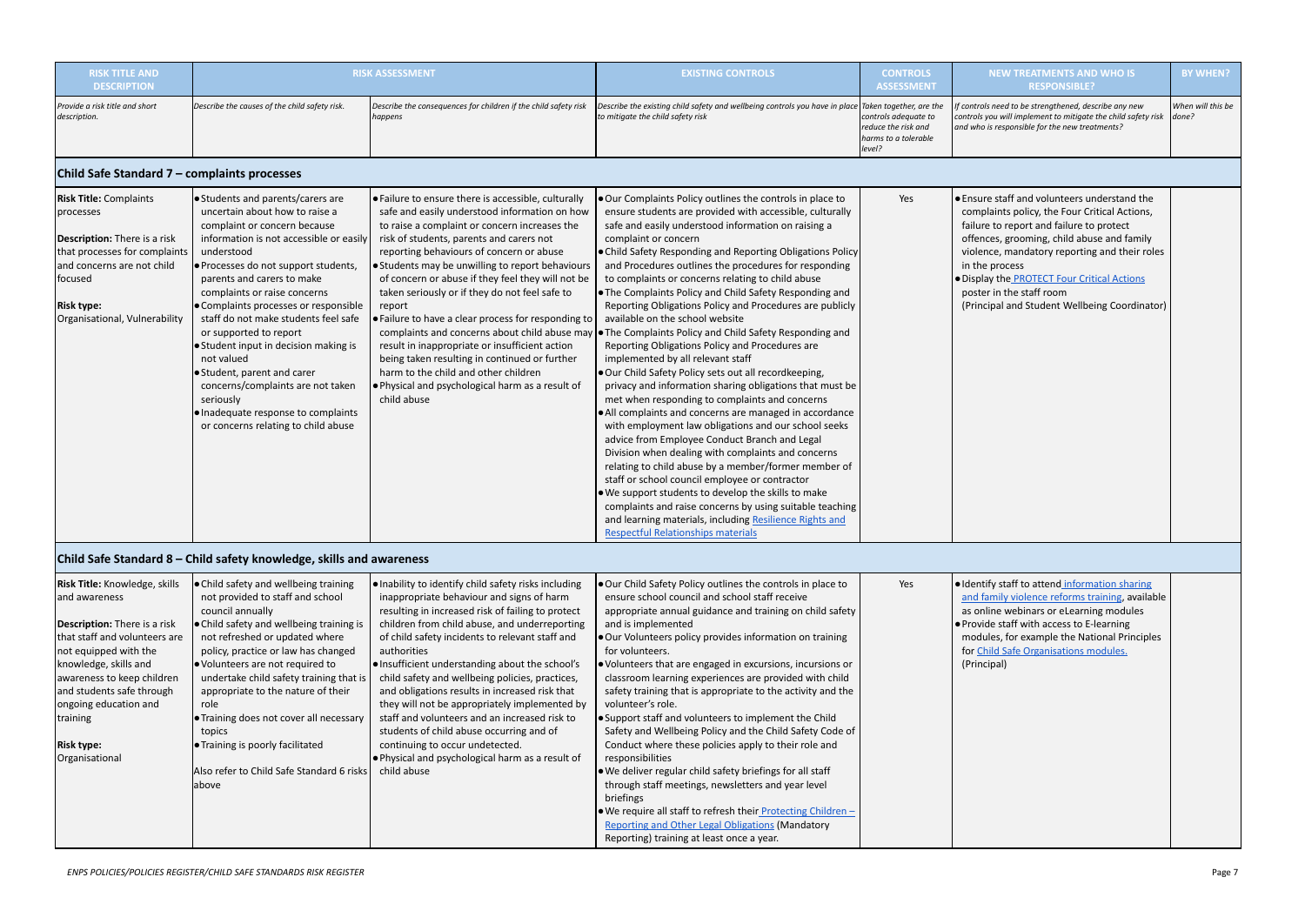| <b>RISK TITLE AND</b><br><b>DESCRIPTION</b>                                                                                                                                                                                                                                                                            |                                                                                                                                                                                                                                                                                                                                                                                                                                                                                                                                                                                               | <b>RISK ASSESSMENT</b>                                                                                                                                                                                                                                                                                                                                                                                                                                                                                                                                                                                                                                                                                                                           | <b>EXISTING CONTROLS</b>                                                                                                                                                                                                                                                                                                                                                                                                                                                                                                                                                                                                                                                                                                                                                                                                                                                                                                                                                                                                                                                                                                                                                                                                                                                                                                                                                                                                                   | <b>CONTROLS</b><br><b>ASSESSMENT</b>                                          | <b>NEW TREATMENTS AND WHO IS</b><br><b>RESPONSIBLE?</b>                                                                                                                                                                                                                                                                                                                                       | <b>BY WHEN?</b>            |
|------------------------------------------------------------------------------------------------------------------------------------------------------------------------------------------------------------------------------------------------------------------------------------------------------------------------|-----------------------------------------------------------------------------------------------------------------------------------------------------------------------------------------------------------------------------------------------------------------------------------------------------------------------------------------------------------------------------------------------------------------------------------------------------------------------------------------------------------------------------------------------------------------------------------------------|--------------------------------------------------------------------------------------------------------------------------------------------------------------------------------------------------------------------------------------------------------------------------------------------------------------------------------------------------------------------------------------------------------------------------------------------------------------------------------------------------------------------------------------------------------------------------------------------------------------------------------------------------------------------------------------------------------------------------------------------------|--------------------------------------------------------------------------------------------------------------------------------------------------------------------------------------------------------------------------------------------------------------------------------------------------------------------------------------------------------------------------------------------------------------------------------------------------------------------------------------------------------------------------------------------------------------------------------------------------------------------------------------------------------------------------------------------------------------------------------------------------------------------------------------------------------------------------------------------------------------------------------------------------------------------------------------------------------------------------------------------------------------------------------------------------------------------------------------------------------------------------------------------------------------------------------------------------------------------------------------------------------------------------------------------------------------------------------------------------------------------------------------------------------------------------------------------|-------------------------------------------------------------------------------|-----------------------------------------------------------------------------------------------------------------------------------------------------------------------------------------------------------------------------------------------------------------------------------------------------------------------------------------------------------------------------------------------|----------------------------|
| Provide a risk title and short<br>description.                                                                                                                                                                                                                                                                         | Describe the causes of the child safety risk.                                                                                                                                                                                                                                                                                                                                                                                                                                                                                                                                                 | Describe the consequences for children if the child safety risk<br>happens                                                                                                                                                                                                                                                                                                                                                                                                                                                                                                                                                                                                                                                                       | Describe the existing child safety and wellbeing controls you have in place Taken together, are the<br>to mitigate the child safety risk                                                                                                                                                                                                                                                                                                                                                                                                                                                                                                                                                                                                                                                                                                                                                                                                                                                                                                                                                                                                                                                                                                                                                                                                                                                                                                   | controls adequate to<br>reduce the risk and<br>harms to a tolerable<br>level? | f controls need to be strengthened, describe any new<br>controls you will implement to mitigate the child safety risk<br>and who is responsible for the new treatments?                                                                                                                                                                                                                       | When will this be<br>done? |
| Child Safe Standard 7 - complaints processes                                                                                                                                                                                                                                                                           |                                                                                                                                                                                                                                                                                                                                                                                                                                                                                                                                                                                               |                                                                                                                                                                                                                                                                                                                                                                                                                                                                                                                                                                                                                                                                                                                                                  |                                                                                                                                                                                                                                                                                                                                                                                                                                                                                                                                                                                                                                                                                                                                                                                                                                                                                                                                                                                                                                                                                                                                                                                                                                                                                                                                                                                                                                            |                                                                               |                                                                                                                                                                                                                                                                                                                                                                                               |                            |
| <b>Risk Title: Complaints</b><br>processes<br><b>Description:</b> There is a risk<br>that processes for complaints<br>and concerns are not child<br>focused<br><b>Risk type:</b><br>Organisational, Vulnerability                                                                                                      | Students and parents/carers are<br>uncertain about how to raise a<br>complaint or concern because<br>information is not accessible or easily<br>understood<br>● Processes do not support students,<br>parents and carers to make<br>complaints or raise concerns<br>Complaints processes or responsible<br>staff do not make students feel safe<br>or supported to report<br>● Student input in decision making is<br>not valued<br>Student, parent and carer<br>concerns/complaints are not taken<br>seriously<br>● Inadequate response to complaints<br>or concerns relating to child abuse | $\bullet$ Failure to ensure there is accessible, culturally<br>safe and easily understood information on how<br>to raise a complaint or concern increases the<br>risk of students, parents and carers not<br>reporting behaviours of concern or abuse<br>• Students may be unwilling to report behaviours<br>of concern or abuse if they feel they will not be<br>taken seriously or if they do not feel safe to<br>report<br>. Failure to have a clear process for responding to<br>complaints and concerns about child abuse may<br>result in inappropriate or insufficient action<br>being taken resulting in continued or further<br>harm to the child and other children<br>. Physical and psychological harm as a result of<br>child abuse | . Our Complaints Policy outlines the controls in place to<br>ensure students are provided with accessible, culturally<br>safe and easily understood information on raising a<br>complaint or concern<br>. Child Safety Responding and Reporting Obligations Policy<br>and Procedures outlines the procedures for responding<br>to complaints or concerns relating to child abuse<br>. The Complaints Policy and Child Safety Responding and<br>Reporting Obligations Policy and Procedures are publicly<br>available on the school website<br><b>.</b> The Complaints Policy and Child Safety Responding and<br>Reporting Obligations Policy and Procedures are<br>implemented by all relevant staff<br>. Our Child Safety Policy sets out all recordkeeping,<br>privacy and information sharing obligations that must be<br>met when responding to complaints and concerns<br>• All complaints and concerns are managed in accordance<br>with employment law obligations and our school seeks<br>advice from Employee Conduct Branch and Legal<br>Division when dealing with complaints and concerns<br>relating to child abuse by a member/former member of<br>staff or school council employee or contractor<br>. We support students to develop the skills to make<br>complaints and raise concerns by using suitable teaching<br>and learning materials, including Resilience Rights and<br><b>Respectful Relationships materials</b> | Yes                                                                           | • Ensure staff and volunteers understand the<br>complaints policy, the Four Critical Actions,<br>failure to report and failure to protect<br>offences, grooming, child abuse and family<br>violence, mandatory reporting and their roles<br>in the process<br>· Display the <b>PROTECT</b> Four Critical Actions<br>poster in the staff room<br>(Principal and Student Wellbeing Coordinator) |                            |
|                                                                                                                                                                                                                                                                                                                        | Child Safe Standard 8 – Child safety knowledge, skills and awareness                                                                                                                                                                                                                                                                                                                                                                                                                                                                                                                          |                                                                                                                                                                                                                                                                                                                                                                                                                                                                                                                                                                                                                                                                                                                                                  |                                                                                                                                                                                                                                                                                                                                                                                                                                                                                                                                                                                                                                                                                                                                                                                                                                                                                                                                                                                                                                                                                                                                                                                                                                                                                                                                                                                                                                            |                                                                               |                                                                                                                                                                                                                                                                                                                                                                                               |                            |
| <b>Risk Title: Knowledge, skills</b><br>and awareness<br><b>Description:</b> There is a risk<br>that staff and volunteers are<br>not equipped with the<br>knowledge, skills and<br>awareness to keep children<br>and students safe through<br>ongoing education and<br>training<br><b>Risk type:</b><br>Organisational | ● Child safety and wellbeing training<br>not provided to staff and school<br>council annually<br>● Child safety and wellbeing training is<br>not refreshed or updated where<br>policy, practice or law has changed<br>● Volunteers are not required to<br>undertake child safety training that is<br>appropriate to the nature of their<br>role<br><b>Training does not cover all necessary</b><br>topics<br><b>Training is poorly facilitated</b><br>Also refer to Child Safe Standard 6 risks<br><b>J</b> above                                                                             | $\bullet$ Inability to identify child safety risks including<br>inappropriate behaviour and signs of harm<br>resulting in increased risk of failing to protect<br>children from child abuse, and underreporting<br>of child safety incidents to relevant staff and<br>authorities<br> ● Insufficient understanding about the school's<br>child safety and wellbeing policies, practices,<br>and obligations results in increased risk that<br>they will not be appropriately implemented by<br>staff and volunteers and an increased risk to<br>students of child abuse occurring and of<br>continuing to occur undetected.<br>. Physical and psychological harm as a result of<br>child abuse                                                   | . Our Child Safety Policy outlines the controls in place to<br>ensure school council and school staff receive<br>appropriate annual guidance and training on child safety<br>and is implemented<br>. Our Volunteers policy provides information on training<br>for volunteers.<br>· Volunteers that are engaged in excursions, incursions or<br>classroom learning experiences are provided with child<br>safety training that is appropriate to the activity and the<br>volunteer's role.<br>• Support staff and volunteers to implement the Child<br>Safety and Wellbeing Policy and the Child Safety Code of<br>Conduct where these policies apply to their role and<br>responsibilities<br>. We deliver regular child safety briefings for all staff<br>through staff meetings, newsletters and year level<br>briefings<br>. We require all staff to refresh their Protecting Children -<br><b>Reporting and Other Legal Obligations (Mandatory</b><br>Reporting) training at least once a year.                                                                                                                                                                                                                                                                                                                                                                                                                                       | Yes                                                                           | · Identify staff to attend information sharing<br>and family violence reforms training, available<br>as online webinars or eLearning modules<br>• Provide staff with access to E-learning<br>modules, for example the National Principles<br>for Child Safe Organisations modules.<br>(Principal)                                                                                             |                            |

| <b>Risk Title:</b> Knowledge, skills                       | • Child safety and wellbeing training                     | . Inability to identify child safety risks including | . Our Child Safety Policy outlines the controls in place to                      | Yes | $\bullet$ Ident |
|------------------------------------------------------------|-----------------------------------------------------------|------------------------------------------------------|----------------------------------------------------------------------------------|-----|-----------------|
| and awareness                                              | not provided to staff and school                          | inappropriate behaviour and signs of harm            | ensure school council and school staff receive                                   |     | and f           |
| council annually                                           |                                                           | resulting in increased risk of failing to protect    | appropriate annual guidance and training on child safety                         |     | as on           |
| <b>Description:</b> There is a risk                        | • Child safety and wellbeing training is                  | children from child abuse, and underreporting        | and is implemented                                                               |     | $\bullet$ Provi |
| that staff and volunteers are                              | not refreshed or updated where                            | of child safety incidents to relevant staff and      | . Our Volunteers policy provides information on training                         |     | mod             |
| not equipped with the                                      | policy, practice or law has changed<br>authorities        |                                                      | for volunteers.                                                                  |     | for $C$         |
| knowledge, skills and<br>● Volunteers are not required to  |                                                           | • Insufficient understanding about the school's      | • Volunteers that are engaged in excursions, incursions or                       |     | (Prin           |
| awareness to keep children                                 | undertake child safety training that is                   | child safety and wellbeing policies, practices,      | classroom learning experiences are provided with child                           |     |                 |
| and students safe through                                  | appropriate to the nature of their                        | and obligations results in increased risk that       | safety training that is appropriate to the activity and the                      |     |                 |
| ongoing education and<br>role                              |                                                           | they will not be appropriately implemented by        | volunteer's role.                                                                |     |                 |
| training                                                   | • Training does not cover all necessary                   | staff and volunteers and an increased risk to        | • Support staff and volunteers to implement the Child                            |     |                 |
| topics                                                     | students of child abuse occurring and of                  |                                                      | Safety and Wellbeing Policy and the Child Safety Code of                         |     |                 |
| <b>Training is poorly facilitated</b><br><b>Risk type:</b> | continuing to occur undetected.                           |                                                      | Conduct where these policies apply to their role and                             |     |                 |
| Organisational                                             |                                                           | . Physical and psychological harm as a result of     | responsibilities                                                                 |     |                 |
|                                                            | LAIso refer to Child Safe Standard 6 risks<br>child abuse |                                                      | . We deliver regular child safety briefings for all staff                        |     |                 |
| labove                                                     |                                                           |                                                      | through staff meetings, newsletters and year level                               |     |                 |
|                                                            |                                                           |                                                      | briefings                                                                        |     |                 |
|                                                            |                                                           |                                                      | $\bullet$ We require all staff to refresh their <i>Protecting Children</i> $\pm$ |     |                 |
|                                                            |                                                           |                                                      | <b>Reporting and Other Legal Obligations (Mandatory</b>                          |     |                 |
|                                                            |                                                           |                                                      | Reporting) training at least once a year.                                        |     |                 |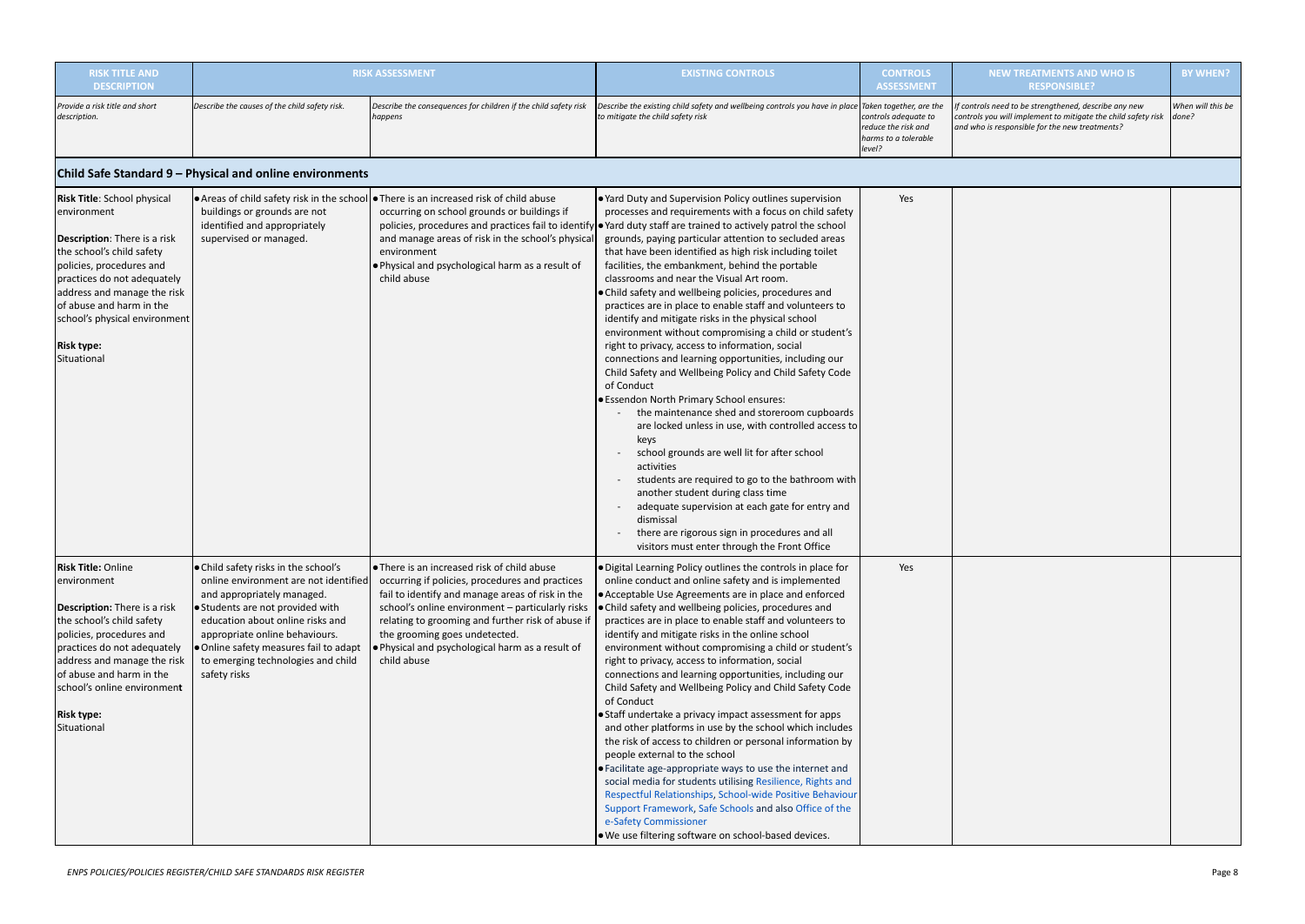| <b>RISK TITLE AND</b><br><b>DESCRIPTION</b>                                                                                                                                                                                                                                                           |                                                                                                                                                                                                                                                                                                                     | <b>RISK ASSESSMENT</b>                                                                                                                                                                                                                                                                                                                                          | <b>EXISTING CONTROLS</b>                                                                                                                                                                                                                                                                                                                                                                                                                                                                                                                                                                                                                                                                                                                                                                                                                                                                                                                                                                                                                                                                                                                                                                                                                                                                                                                                              | <b>CONTROLS</b><br><b>ASSESSMENT</b>                                          | <b>NEW TREATMENTS AND WHO IS</b><br><b>RESPONSIBLE?</b>                                                                                                                 | <b>BY WHEN?</b>            |
|-------------------------------------------------------------------------------------------------------------------------------------------------------------------------------------------------------------------------------------------------------------------------------------------------------|---------------------------------------------------------------------------------------------------------------------------------------------------------------------------------------------------------------------------------------------------------------------------------------------------------------------|-----------------------------------------------------------------------------------------------------------------------------------------------------------------------------------------------------------------------------------------------------------------------------------------------------------------------------------------------------------------|-----------------------------------------------------------------------------------------------------------------------------------------------------------------------------------------------------------------------------------------------------------------------------------------------------------------------------------------------------------------------------------------------------------------------------------------------------------------------------------------------------------------------------------------------------------------------------------------------------------------------------------------------------------------------------------------------------------------------------------------------------------------------------------------------------------------------------------------------------------------------------------------------------------------------------------------------------------------------------------------------------------------------------------------------------------------------------------------------------------------------------------------------------------------------------------------------------------------------------------------------------------------------------------------------------------------------------------------------------------------------|-------------------------------------------------------------------------------|-------------------------------------------------------------------------------------------------------------------------------------------------------------------------|----------------------------|
| Provide a risk title and short<br>description.                                                                                                                                                                                                                                                        | Describe the causes of the child safety risk.                                                                                                                                                                                                                                                                       | Describe the consequences for children if the child safety risk<br>happens                                                                                                                                                                                                                                                                                      | Describe the existing child safety and wellbeing controls you have in place $ $ Taken together, are the<br>to mitigate the child safety risk                                                                                                                                                                                                                                                                                                                                                                                                                                                                                                                                                                                                                                                                                                                                                                                                                                                                                                                                                                                                                                                                                                                                                                                                                          | controls adequate to<br>reduce the risk and<br>harms to a tolerable<br>level? | f controls need to be strengthened, describe any new<br>controls you will implement to mitigate the child safety risk<br>and who is responsible for the new treatments? | When will this be<br>done? |
|                                                                                                                                                                                                                                                                                                       | Child Safe Standard 9 - Physical and online environments                                                                                                                                                                                                                                                            |                                                                                                                                                                                                                                                                                                                                                                 |                                                                                                                                                                                                                                                                                                                                                                                                                                                                                                                                                                                                                                                                                                                                                                                                                                                                                                                                                                                                                                                                                                                                                                                                                                                                                                                                                                       |                                                                               |                                                                                                                                                                         |                            |
| Risk Title: School physical<br>environment<br>Description: There is a risk<br>the school's child safety<br>policies, procedures and<br>practices do not adequately<br>address and manage the risk<br>of abuse and harm in the<br>school's physical environment<br><b>Risk type:</b><br>Situational    | buildings or grounds are not<br>identified and appropriately<br>supervised or managed.                                                                                                                                                                                                                              | <b>Areas of child safety risk in the school</b> $\bullet$ There is an increased risk of child abuse<br>occurring on school grounds or buildings if<br>and manage areas of risk in the school's physical<br>environment<br>. Physical and psychological harm as a result of<br>child abuse                                                                       | . Yard Duty and Supervision Policy outlines supervision<br>processes and requirements with a focus on child safety<br>policies, procedures and practices fail to identify • Yard duty staff are trained to actively patrol the school<br>grounds, paying particular attention to secluded areas<br>that have been identified as high risk including toilet<br>facilities, the embankment, behind the portable<br>classrooms and near the Visual Art room.<br>. Child safety and wellbeing policies, procedures and<br>practices are in place to enable staff and volunteers to<br>identify and mitigate risks in the physical school<br>environment without compromising a child or student's<br>right to privacy, access to information, social<br>connections and learning opportunities, including our<br>Child Safety and Wellbeing Policy and Child Safety Code<br>of Conduct<br>· Essendon North Primary School ensures:<br>the maintenance shed and storeroom cupboards<br>are locked unless in use, with controlled access to<br>keys<br>school grounds are well lit for after school<br>activities<br>students are required to go to the bathroom with<br>another student during class time<br>adequate supervision at each gate for entry and<br>dismissal<br>there are rigorous sign in procedures and all<br>visitors must enter through the Front Office | Yes                                                                           |                                                                                                                                                                         |                            |
| <b>Risk Title: Online</b><br>environment<br><b>Description:</b> There is a risk<br>the school's child safety<br>policies, procedures and<br>practices do not adequately<br>address and manage the risk<br>of abuse and harm in the<br>school's online environment<br><b>Risk type:</b><br>Situational | • Child safety risks in the school's<br>online environment are not identified<br>and appropriately managed.<br>Students are not provided with<br>education about online risks and<br>appropriate online behaviours.<br>. Online safety measures fail to adapt<br>to emerging technologies and child<br>safety risks | • There is an increased risk of child abuse<br>occurring if policies, procedures and practices<br>fail to identify and manage areas of risk in the<br>school's online environment - particularly risks<br>relating to grooming and further risk of abuse if<br>the grooming goes undetected.<br>. Physical and psychological harm as a result of<br>child abuse | . Digital Learning Policy outlines the controls in place for<br>online conduct and online safety and is implemented<br>• Acceptable Use Agreements are in place and enforced<br>. Child safety and wellbeing policies, procedures and<br>practices are in place to enable staff and volunteers to<br>identify and mitigate risks in the online school<br>environment without compromising a child or student's<br>right to privacy, access to information, social<br>connections and learning opportunities, including our<br>Child Safety and Wellbeing Policy and Child Safety Code<br>of Conduct<br>• Staff undertake a privacy impact assessment for apps<br>and other platforms in use by the school which includes<br>the risk of access to children or personal information by<br>people external to the school<br>• Facilitate age-appropriate ways to use the internet and<br>social media for students utilising Resilience, Rights and<br>Respectful Relationships, School-wide Positive Behaviour<br>Support Framework, Safe Schools and also Office of the<br>e-Safety Commissioner<br>. We use filtering software on school-based devices.                                                                                                                                                                                                              | Yes                                                                           |                                                                                                                                                                         |                            |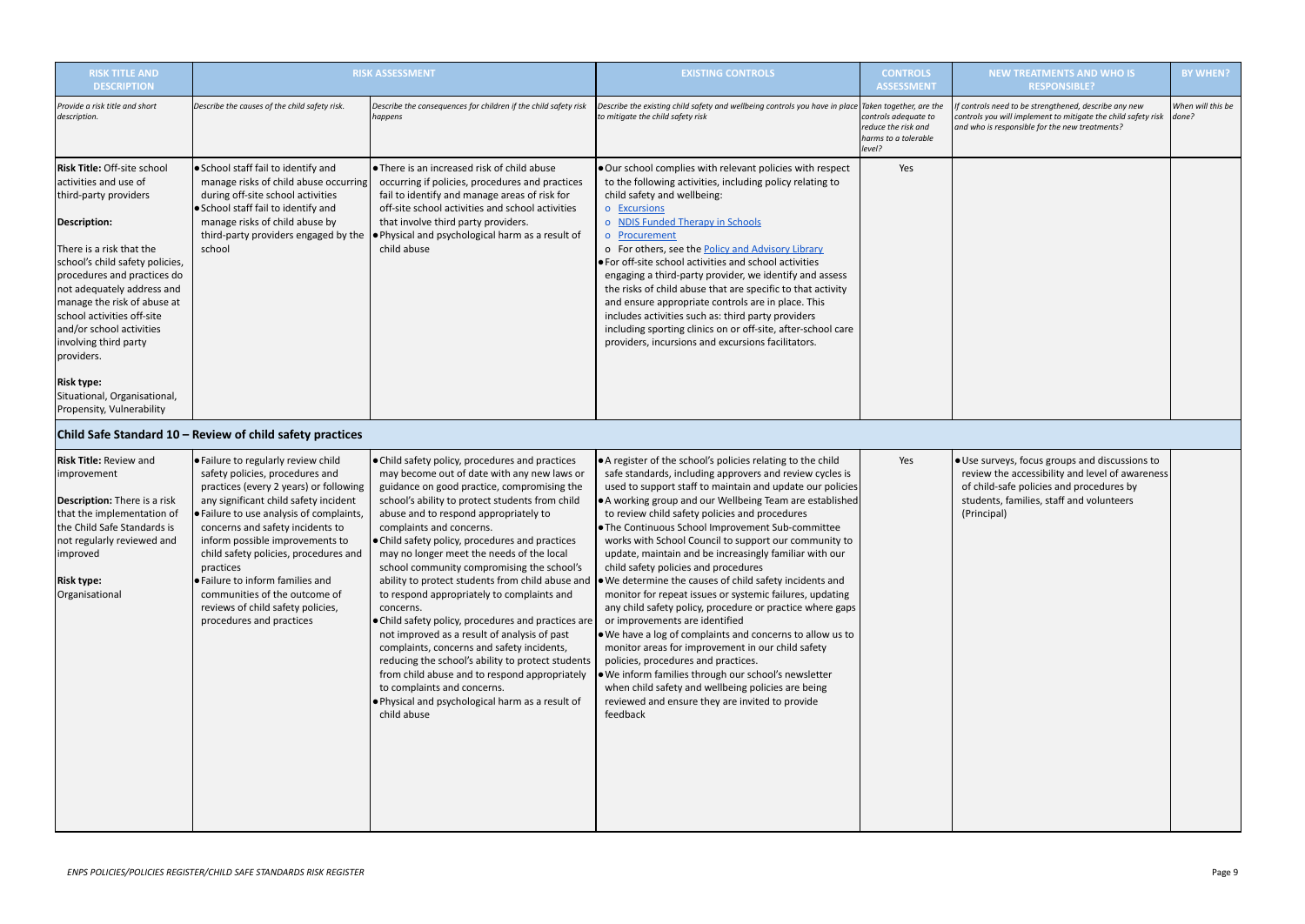| <b>RISK TITLE AND</b><br><b>DESCRIPTION</b>                                                                                                                                                                                                                                                                                                                                                                           | <b>RISK ASSESSMENT</b>                                                                                                                                                                                                                                                                                                                                                                                                                                                   |                                                                                                                                                                                                                                                                                                                                                                                                                                                                                                                                                                                                                                                                                                                                                                                                                                                                                                 | <b>EXISTING CONTROLS</b>                                                                                                                                                                                                                                                                                                                                                                                                                                                                                                                                                                                                                                                                                                                                                                                                                                                                                                                                                                                                                                                               | <b>CONTROLS</b><br><b>ASSESSMENT</b>                                          | <b>NEV</b>                                                              |
|-----------------------------------------------------------------------------------------------------------------------------------------------------------------------------------------------------------------------------------------------------------------------------------------------------------------------------------------------------------------------------------------------------------------------|--------------------------------------------------------------------------------------------------------------------------------------------------------------------------------------------------------------------------------------------------------------------------------------------------------------------------------------------------------------------------------------------------------------------------------------------------------------------------|-------------------------------------------------------------------------------------------------------------------------------------------------------------------------------------------------------------------------------------------------------------------------------------------------------------------------------------------------------------------------------------------------------------------------------------------------------------------------------------------------------------------------------------------------------------------------------------------------------------------------------------------------------------------------------------------------------------------------------------------------------------------------------------------------------------------------------------------------------------------------------------------------|----------------------------------------------------------------------------------------------------------------------------------------------------------------------------------------------------------------------------------------------------------------------------------------------------------------------------------------------------------------------------------------------------------------------------------------------------------------------------------------------------------------------------------------------------------------------------------------------------------------------------------------------------------------------------------------------------------------------------------------------------------------------------------------------------------------------------------------------------------------------------------------------------------------------------------------------------------------------------------------------------------------------------------------------------------------------------------------|-------------------------------------------------------------------------------|-------------------------------------------------------------------------|
| Provide a risk title and short<br>description.                                                                                                                                                                                                                                                                                                                                                                        | Describe the causes of the child safety risk.                                                                                                                                                                                                                                                                                                                                                                                                                            | Describe the consequences for children if the child safety risk<br>happens                                                                                                                                                                                                                                                                                                                                                                                                                                                                                                                                                                                                                                                                                                                                                                                                                      | Describe the existing child safety and wellbeing controls you have in place Taken together, are the<br>to mitigate the child safety risk                                                                                                                                                                                                                                                                                                                                                                                                                                                                                                                                                                                                                                                                                                                                                                                                                                                                                                                                               | controls adequate to<br>reduce the risk and<br>harms to a tolerable<br>level? | If controls need<br>controls you wi<br>and who is resp                  |
| <b>Risk Title: Off-site school</b><br>activities and use of<br>third-party providers<br>Description:<br>There is a risk that the<br>school's child safety policies,<br>procedures and practices do<br>not adequately address and<br>manage the risk of abuse at<br>school activities off-site<br>and/or school activities<br>involving third party<br>providers.<br><b>Risk type:</b><br>Situational, Organisational, | • School staff fail to identify and<br>manage risks of child abuse occurring<br>during off-site school activities<br>• School staff fail to identify and<br>manage risks of child abuse by<br>third-party providers engaged by the<br>school                                                                                                                                                                                                                             | • There is an increased risk of child abuse<br>occurring if policies, procedures and practices<br>fail to identify and manage areas of risk for<br>off-site school activities and school activities<br>that involve third party providers.<br>. Physical and psychological harm as a result of<br>child abuse                                                                                                                                                                                                                                                                                                                                                                                                                                                                                                                                                                                   | . Our school complies with relevant policies with respect<br>to the following activities, including policy relating to<br>child safety and wellbeing:<br>o Excursions<br><b>NDIS Funded Therapy in Schools</b><br>Procurement<br>$\overline{O}$<br>o For others, see the Policy and Advisory Library<br>• For off-site school activities and school activities<br>engaging a third-party provider, we identify and assess<br>the risks of child abuse that are specific to that activity<br>and ensure appropriate controls are in place. This<br>includes activities such as: third party providers<br>including sporting clinics on or off-site, after-school care<br>providers, incursions and excursions facilitators.                                                                                                                                                                                                                                                                                                                                                             | Yes                                                                           |                                                                         |
| Propensity, Vulnerability                                                                                                                                                                                                                                                                                                                                                                                             | Child Safe Standard 10 - Review of child safety practices                                                                                                                                                                                                                                                                                                                                                                                                                |                                                                                                                                                                                                                                                                                                                                                                                                                                                                                                                                                                                                                                                                                                                                                                                                                                                                                                 |                                                                                                                                                                                                                                                                                                                                                                                                                                                                                                                                                                                                                                                                                                                                                                                                                                                                                                                                                                                                                                                                                        |                                                                               |                                                                         |
| <b>Risk Title: Review and</b><br>improvement<br><b>Description:</b> There is a risk<br>that the implementation of<br>the Child Safe Standards is<br>not regularly reviewed and<br>improved<br><b>Risk type:</b><br>Organisational                                                                                                                                                                                     | . Failure to regularly review child<br>safety policies, procedures and<br>practices (every 2 years) or following<br>any significant child safety incident<br>· Failure to use analysis of complaints,<br>concerns and safety incidents to<br>inform possible improvements to<br>child safety policies, procedures and<br>practices<br>• Failure to inform families and<br>communities of the outcome of<br>reviews of child safety policies,<br>procedures and practices | • Child safety policy, procedures and practices<br>may become out of date with any new laws or<br>guidance on good practice, compromising the<br>school's ability to protect students from child<br>abuse and to respond appropriately to<br>complaints and concerns.<br>. Child safety policy, procedures and practices<br>may no longer meet the needs of the local<br>school community compromising the school's<br>ability to protect students from child abuse and<br>to respond appropriately to complaints and<br>concerns.<br>. Child safety policy, procedures and practices are<br>not improved as a result of analysis of past<br>complaints, concerns and safety incidents,<br>reducing the school's ability to protect students<br>from child abuse and to respond appropriately<br>to complaints and concerns.<br>. Physical and psychological harm as a result of<br>child abuse | • A register of the school's policies relating to the child<br>safe standards, including approvers and review cycles is<br>used to support staff to maintain and update our policies<br>• A working group and our Wellbeing Team are established<br>to review child safety policies and procedures<br>. The Continuous School Improvement Sub-committee<br>works with School Council to support our community to<br>update, maintain and be increasingly familiar with our<br>child safety policies and procedures<br>$\bullet$ We determine the causes of child safety incidents and<br>monitor for repeat issues or systemic failures, updating<br>any child safety policy, procedure or practice where gaps<br>or improvements are identified<br>. We have a log of complaints and concerns to allow us to<br>monitor areas for improvement in our child safety<br>policies, procedures and practices.<br>. We inform families through our school's newsletter<br>when child safety and wellbeing policies are being<br>reviewed and ensure they are invited to provide<br>feedback | Yes                                                                           | · Use survey<br>review the<br>of child-sa<br>students, f<br>(Principal) |

| <b>ITROLS</b><br><b>SSMENT</b>                       | <b>NEW TREATMENTS AND WHO IS</b><br><b>RESPONSIBLE?</b>                                                                                                                                                  | <b>BY WHEN?</b>            |
|------------------------------------------------------|----------------------------------------------------------------------------------------------------------------------------------------------------------------------------------------------------------|----------------------------|
| ther, are the<br>lequate to<br>risk and<br>tolerable | If controls need to be strengthened, describe any new<br>controls you will implement to mitigate the child safety risk<br>and who is responsible for the new treatments?                                 | When will this be<br>done? |
| Yes                                                  |                                                                                                                                                                                                          |                            |
|                                                      |                                                                                                                                                                                                          |                            |
| Yes                                                  | · Use surveys, focus groups and discussions to<br>review the accessibility and level of awareness<br>of child-safe policies and procedures by<br>students, families, staff and volunteers<br>(Principal) |                            |